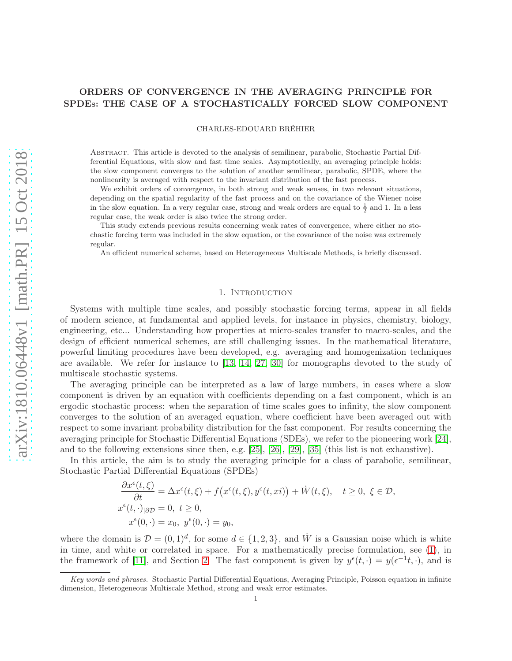# ORDERS OF CONVERGENCE IN THE AVERAGING PRINCIPLE FOR SPDES: THE CASE OF A STOCHASTICALLY FORCED SLOW COMPONENT

CHARLES-EDOUARD BRÉHIER

Abstract. This article is devoted to the analysis of semilinear, parabolic, Stochastic Partial Differential Equations, with slow and fast time scales. Asymptotically, an averaging principle holds: the slow component converges to the solution of another semilinear, parabolic, SPDE, where the nonlinearity is averaged with respect to the invariant distribution of the fast process.

We exhibit orders of convergence, in both strong and weak senses, in two relevant situations, depending on the spatial regularity of the fast process and on the covariance of the Wiener noise in the slow equation. In a very regular case, strong and weak orders are equal to  $\frac{1}{2}$  and 1. In a less regular case, the weak order is also twice the strong order.

This study extends previous results concerning weak rates of convergence, where either no stochastic forcing term was included in the slow equation, or the covariance of the noise was extremely regular.

An efficient numerical scheme, based on Heterogeneous Multiscale Methods, is briefly discussed.

#### 1. INTRODUCTION

Systems with multiple time scales, and possibly stochastic forcing terms, appear in all fields of modern science, at fundamental and applied levels, for instance in physics, chemistry, biology, engineering, etc... Understanding how properties at micro-scales transfer to macro-scales, and the design of efficient numerical schemes, are still challenging issues. In the mathematical literature, powerful limiting procedures have been developed, e.g. averaging and homogenization techniques are available. We refer for instance to [\[13,](#page-30-0) [14,](#page-30-1) [27,](#page-31-0) [30\]](#page-31-1) for monographs devoted to the study of multiscale stochastic systems.

The averaging principle can be interpreted as a law of large numbers, in cases where a slow component is driven by an equation with coefficients depending on a fast component, which is an ergodic stochastic process: when the separation of time scales goes to infinity, the slow component converges to the solution of an averaged equation, where coefficient have been averaged out with respect to some invariant probability distribution for the fast component. For results concerning the averaging principle for Stochastic Differential Equations (SDEs), we refer to the pioneering work [\[24\]](#page-31-2), and to the following extensions since then, e.g. [\[25\]](#page-31-3), [\[26\]](#page-31-4), [\[29\]](#page-31-5), [\[35\]](#page-31-6) (this list is not exhaustive).

In this article, the aim is to study the averaging principle for a class of parabolic, semilinear, Stochastic Partial Differential Equations (SPDEs)

$$
\frac{\partial x^{\epsilon}(t,\xi)}{\partial t} = \Delta x^{\epsilon}(t,\xi) + f(x^{\epsilon}(t,\xi), y^{\epsilon}(t,xi)) + \dot{W}(t,\xi), \quad t \ge 0, \ \xi \in \mathcal{D},
$$
  

$$
x^{\epsilon}(t,\cdot)_{|\partial \mathcal{D}} = 0, \ t \ge 0,
$$
  

$$
x^{\epsilon}(0,\cdot) = x_0, \ y^{\epsilon}(0,\cdot) = y_0,
$$

where the domain is  $\mathcal{D} = (0, 1)^d$ , for some  $d \in \{1, 2, 3\}$ , and W is a Gaussian noise which is white in time, and white or correlated in space. For a mathematically precise formulation, see [\(1\)](#page-2-0), in the framework of [\[11\]](#page-30-2), and Section [2.](#page-2-1) The fast component is given by  $y^{\epsilon}(t, \cdot) = y(\epsilon^{-1}t, \cdot)$ , and is

Key words and phrases. Stochastic Partial Differential Equations, Averaging Principle, Poisson equation in infinite dimension, Heterogeneous Multiscale Method, strong and weak error estimates.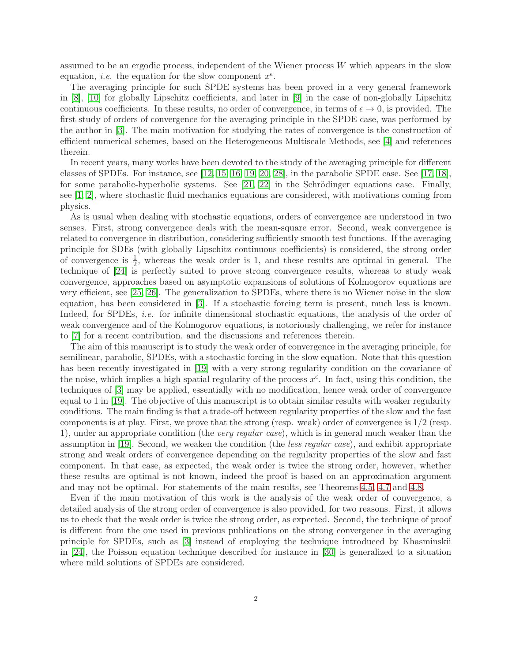assumed to be an ergodic process, independent of the Wiener process  $W$  which appears in the slow equation, *i.e.* the equation for the slow component  $x^{\epsilon}$ .

The averaging principle for such SPDE systems has been proved in a very general framework in [\[8\]](#page-30-3), [\[10\]](#page-30-4) for globally Lipschitz coefficients, and later in [\[9\]](#page-30-5) in the case of non-globally Lipschitz continuous coefficients. In these results, no order of convergence, in terms of  $\epsilon \to 0$ , is provided. The first study of orders of convergence for the averaging principle in the SPDE case, was performed by the author in [\[3\]](#page-30-6). The main motivation for studying the rates of convergence is the construction of efficient numerical schemes, based on the Heterogeneous Multiscale Methods, see [\[4\]](#page-30-7) and references therein.

In recent years, many works have been devoted to the study of the averaging principle for different classes of SPDEs. For instance, see [\[12,](#page-30-8) [15,](#page-30-9) [16,](#page-30-10) [19,](#page-30-11) [20,](#page-30-12) [28\]](#page-31-7), in the parabolic SPDE case. See [\[17,](#page-30-13) [18\]](#page-30-14), for some parabolic-hyperbolic systems. See [\[21,](#page-30-15) [22\]](#page-31-8) in the Schrödinger equations case. Finally, see [\[1,](#page-30-16) [2\]](#page-30-17), where stochastic fluid mechanics equations are considered, with motivations coming from physics.

As is usual when dealing with stochastic equations, orders of convergence are understood in two senses. First, strong convergence deals with the mean-square error. Second, weak convergence is related to convergence in distribution, considering sufficiently smooth test functions. If the averaging principle for SDEs (with globally Lipschitz continuous coefficients) is considered, the strong order of convergence is  $\frac{1}{2}$ , whereas the weak order is 1, and these results are optimal in general. The technique of [\[24\]](#page-31-2) is perfectly suited to prove strong convergence results, whereas to study weak convergence, approaches based on asymptotic expansions of solutions of Kolmogorov equations are very efficient, see [\[25,](#page-31-3) [26\]](#page-31-4). The generalization to SPDEs, where there is no Wiener noise in the slow equation, has been considered in [\[3\]](#page-30-6). If a stochastic forcing term is present, much less is known. Indeed, for SPDEs, *i.e.* for infinite dimensional stochastic equations, the analysis of the order of weak convergence and of the Kolmogorov equations, is notoriously challenging, we refer for instance to [\[7\]](#page-30-18) for a recent contribution, and the discussions and references therein.

The aim of this manuscript is to study the weak order of convergence in the averaging principle, for semilinear, parabolic, SPDEs, with a stochastic forcing in the slow equation. Note that this question has been recently investigated in [\[19\]](#page-30-11) with a very strong regularity condition on the covariance of the noise, which implies a high spatial regularity of the process  $x^{\epsilon}$ . In fact, using this condition, the techniques of [\[3\]](#page-30-6) may be applied, essentially with no modification, hence weak order of convergence equal to 1 in [\[19\]](#page-30-11). The objective of this manuscript is to obtain similar results with weaker regularity conditions. The main finding is that a trade-off between regularity properties of the slow and the fast components is at play. First, we prove that the strong (resp. weak) order of convergence is 1/2 (resp. 1), under an appropriate condition (the very regular case), which is in general much weaker than the assumption in [\[19\]](#page-30-11). Second, we weaken the condition (the less regular case), and exhibit appropriate strong and weak orders of convergence depending on the regularity properties of the slow and fast component. In that case, as expected, the weak order is twice the strong order, however, whether these results are optimal is not known, indeed the proof is based on an approximation argument and may not be optimal. For statements of the main results, see Theorems [4.5,](#page-10-0) [4.7](#page-10-1) and [4.8.](#page-11-0)

Even if the main motivation of this work is the analysis of the weak order of convergence, a detailed analysis of the strong order of convergence is also provided, for two reasons. First, it allows us to check that the weak order is twice the strong order, as expected. Second, the technique of proof is different from the one used in previous publications on the strong convergence in the averaging principle for SPDEs, such as [\[3\]](#page-30-6) instead of employing the technique introduced by Khasminskii in [\[24\]](#page-31-2), the Poisson equation technique described for instance in [\[30\]](#page-31-1) is generalized to a situation where mild solutions of SPDEs are considered.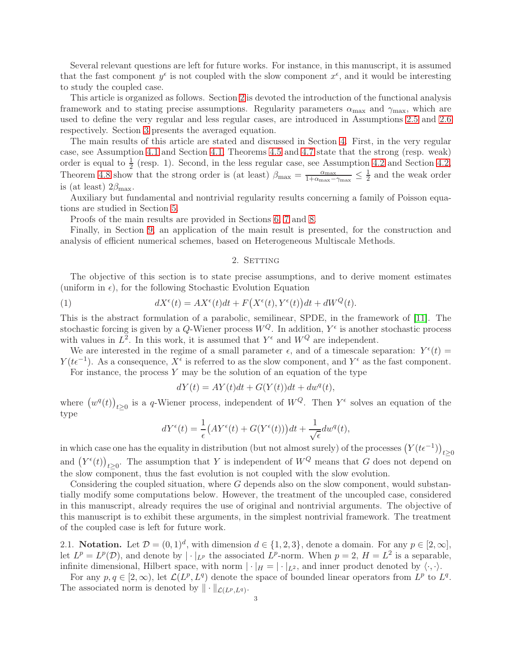Several relevant questions are left for future works. For instance, in this manuscript, it is assumed that the fast component  $y^{\epsilon}$  is not coupled with the slow component  $x^{\epsilon}$ , and it would be interesting to study the coupled case.

This article is organized as follows. Section [2](#page-2-1) is devoted the introduction of the functional analysis framework and to stating precise assumptions. Regularity parameters  $\alpha_{\text{max}}$  and  $\gamma_{\text{max}}$ , which are used to define the very regular and less regular cases, are introduced in Assumptions [2.5](#page-5-0) and [2.6](#page-5-1) respectively. Section [3](#page-8-0) presents the averaged equation.

The main results of this article are stated and discussed in Section [4.](#page-9-0) First, in the very regular case, see Assumption [4.1](#page-9-1) and Section [4.1,](#page-10-2) Theorems [4.5](#page-10-0) and [4.7](#page-10-1) state that the strong (resp. weak) order is equal to  $\frac{1}{2}$  (resp. 1). Second, in the less regular case, see Assumption [4.2](#page-9-2) and Section [4.2,](#page-11-1) Theorem [4.8](#page-11-0) show that the strong order is (at least)  $\beta_{\text{max}} = \frac{\alpha_{\text{max}}}{1 + \alpha_{\text{max}}}$  $\frac{\alpha_{\max}}{1+\alpha_{\max}-\gamma_{\max}} \leq \frac{1}{2}$  and the weak order is (at least)  $2\beta_{\text{max}}$ .

Auxiliary but fundamental and nontrivial regularity results concerning a family of Poisson equations are studied in Section [5.](#page-11-2)

Proofs of the main results are provided in Sections [6,](#page-13-0) [7](#page-16-0) and [8.](#page-21-0)

<span id="page-2-1"></span>Finally, in Section [9,](#page-25-0) an application of the main result is presented, for the construction and analysis of efficient numerical schemes, based on Heterogeneous Multiscale Methods.

## <span id="page-2-0"></span>2. SETTING

The objective of this section is to state precise assumptions, and to derive moment estimates (uniform in  $\epsilon$ ), for the following Stochastic Evolution Equation

(1) 
$$
dX^{\epsilon}(t) = AX^{\epsilon}(t)dt + F(X^{\epsilon}(t), Y^{\epsilon}(t))dt + dW^{Q}(t).
$$

This is the abstract formulation of a parabolic, semilinear, SPDE, in the framework of [\[11\]](#page-30-2). The stochastic forcing is given by a Q-Wiener process  $W^Q$ . In addition,  $Y^{\epsilon}$  is another stochastic process with values in  $L^2$ . In this work, it is assumed that  $Y^{\epsilon}$  and  $W^Q$  are independent.

We are interested in the regime of a small parameter  $\epsilon$ , and of a timescale separation:  $Y^{\epsilon}(t)$  $Y(t\epsilon^{-1})$ . As a consequence,  $X^{\epsilon}$  is referred to as the slow component, and  $Y^{\epsilon}$  as the fast component. For instance, the process  $Y$  may be the solution of an equation of the type

$$
dY(t) = AY(t)dt + G(Y(t))dt + dwq(t),
$$

where  $(w^q(t))_{t\geq 0}$  is a q-Wiener process, independent of  $W^Q$ . Then  $Y^{\epsilon}$  solves an equation of the type

$$
dY^{\epsilon}(t) = \frac{1}{\epsilon} \left( AY^{\epsilon}(t) + G(Y^{\epsilon}(t)) \right) dt + \frac{1}{\sqrt{\epsilon}} dw^{q}(t),
$$

in which case one has the equality in distribution (but not almost surely) of the processes  $(Y(t\epsilon^{-1}))_{t\geq 0}$ and  $(Y^{\epsilon}(t))_{t\geq 0}$ . The assumption that Y is independent of  $W^Q$  means that G does not depend on the slow component, thus the fast evolution is not coupled with the slow evolution.

Considering the coupled situation, where G depends also on the slow component, would substantially modify some computations below. However, the treatment of the uncoupled case, considered in this manuscript, already requires the use of original and nontrivial arguments. The objective of this manuscript is to exhibit these arguments, in the simplest nontrivial framework. The treatment of the coupled case is left for future work.

2.1. Notation. Let  $\mathcal{D} = (0, 1)^d$ , with dimension  $d \in \{1, 2, 3\}$ , denote a domain. For any  $p \in [2, \infty]$ , let  $L^p = L^p(\mathcal{D})$ , and denote by  $|\cdot|_{L^p}$  the associated  $L^p$ -norm. When  $p = 2$ ,  $H = L^2$  is a separable, infinite dimensional, Hilbert space, with norm  $|\cdot|_H = |\cdot|_{L^2}$ , and inner product denoted by  $\langle \cdot, \cdot \rangle$ .

For any  $p, q \in [2, \infty)$ , let  $\mathcal{L}(L^p, L^q)$  denote the space of bounded linear operators from  $L^p$  to  $L^q$ . The associated norm is denoted by  $\|\cdot\|_{\mathcal{L}(L^p,L^q)}$ .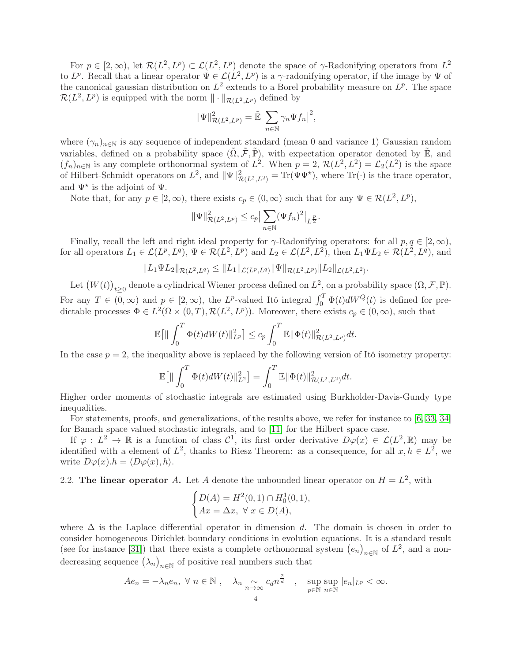For  $p \in [2,\infty)$ , let  $\mathcal{R}(L^2, L^p) \subset \mathcal{L}(L^2, L^p)$  denote the space of  $\gamma$ -Radonifying operators from  $L^2$ to  $L^p$ . Recall that a linear operator  $\Psi \in \mathcal{L}(L^2, L^p)$  is a  $\gamma$ -radonifying operator, if the image by  $\Psi$  of the canonical gaussian distribution on  $L^2$  extends to a Borel probability measure on  $L^p$ . The space  $\mathcal{R}(L^2, L^p)$  is equipped with the norm  $\|\cdot\|_{\mathcal{R}(L^2, L^p)}$  defined by

$$
\|\Psi\|^2_{\mathcal{R}(L^2,L^p)} = \tilde{\mathbb{E}} \big|\sum_{n\in\mathbb{N}} \gamma_n \Psi f_n \big|^2,
$$

where  $(\gamma_n)_{n\in\mathbb{N}}$  is any sequence of independent standard (mean 0 and variance 1) Gaussian random variables, defined on a probability space  $(\tilde{\Omega}, \tilde{\mathcal{F}}, \tilde{\mathbb{P}})$ , with expectation operator denoted by  $\tilde{\mathbb{E}}$ , and  $(f_n)_{n\in\mathbb{N}}$  is any complete orthonormal system of  $L^2$ . When  $p = 2$ ,  $\mathcal{R}(L^2, L^2) = \mathcal{L}_2(L^2)$  is the space of Hilbert-Schmidt operators on  $L^2$ , and  $\|\Psi\|_{\mathcal{R}(L^2, L^2)}^2 = \text{Tr}(\Psi \Psi^*)$ , where  $\text{Tr}(\cdot)$  is the trace operator, and  $\Psi^*$  is the adjoint of  $\Psi$ .

Note that, for any  $p \in [2, \infty)$ , there exists  $c_p \in (0, \infty)$  such that for any  $\Psi \in \mathcal{R}(L^2, L^p)$ ,

$$
\|\Psi\|_{\mathcal{R}(L^2, L^p)}^2 \le c_p \big| \sum_{n \in \mathbb{N}} (\Psi f_n)^2 \big|_{L^{\frac{p}{2}}}.
$$

Finally, recall the left and right ideal property for  $\gamma$ -Radonifying operators: for all  $p, q \in [2, \infty)$ , for all operators  $L_1 \in \mathcal{L}(L^p, L^q)$ ,  $\Psi \in \mathcal{R}(L^2, L^p)$  and  $L_2 \in \mathcal{L}(L^2, L^2)$ , then  $L_1 \Psi L_2 \in \mathcal{R}(L^2, L^q)$ , and

$$
||L_1 \Psi L_2||_{\mathcal{R}(L^2, L^q)} \leq ||L_1||_{\mathcal{L}(L^p, L^q)} ||\Psi||_{\mathcal{R}(L^2, L^p)} ||L_2||_{\mathcal{L}(L^2, L^2)}.
$$

Let  $(W(t))_{t\geq0}$  denote a cylindrical Wiener process defined on  $L^2$ , on a probability space  $(\Omega, \mathcal{F}, \mathbb{P})$ . For any  $T \in (0,\infty)$  and  $p \in [2,\infty)$ , the L<sup>p</sup>-valued Itô integral  $\int_0^T \Phi(t) dW^Q(t)$  is defined for predictable processes  $\Phi \in L^2(\Omega \times (0,T), \mathcal{R}(L^2, L^p))$ . Moreover, there exists  $c_p \in (0,\infty)$ , such that

$$
\mathbb{E}\big[\|\int_0^T \Phi(t)dW(t)\|_{L^p}^2\big] \leq c_p \int_0^T \mathbb{E}\|\Phi(t)\|_{\mathcal{R}(L^2, L^p)}^2 dt.
$$

In the case  $p = 2$ , the inequality above is replaced by the following version of Itô isometry property:

$$
\mathbb{E}\big[\|\int_0^T \Phi(t)dW(t)\|_{L^2}^2\big] = \int_0^T \mathbb{E}\|\Phi(t)\|_{\mathcal{R}(L^2, L^2)}^2 dt.
$$

Higher order moments of stochastic integrals are estimated using Burkholder-Davis-Gundy type inequalities.

For statements, proofs, and generalizations, of the results above, we refer for instance to [\[6,](#page-30-19) [33,](#page-31-9) [34\]](#page-31-10) for Banach space valued stochastic integrals, and to [\[11\]](#page-30-2) for the Hilbert space case.

If  $\varphi: L^2 \to \mathbb{R}$  is a function of class  $\mathcal{C}^1$ , its first order derivative  $D\varphi(x) \in \mathcal{L}(L^2, \mathbb{R})$  may be identified with a element of  $L^2$ , thanks to Riesz Theorem: as a consequence, for all  $x, h \in L^2$ , we write  $D\varphi(x) \cdot h = \langle D\varphi(x), h \rangle$ .

# 2.2. The linear operator A. Let A denote the unbounded linear operator on  $H = L^2$ , with

$$
\begin{cases}\nD(A) = H^2(0,1) \cap H_0^1(0,1), \\
Ax = \Delta x, \ \forall \ x \in D(A),\n\end{cases}
$$

where  $\Delta$  is the Laplace differential operator in dimension d. The domain is chosen in order to consider homogeneous Dirichlet boundary conditions in evolution equations. It is a standard result (see for instance [\[31\]](#page-31-11)) that there exists a complete orthonormal system  $(e_n)_{n\in\mathbb{N}}$  of  $L^2$ , and a nondecreasing sequence  $(\lambda_n)_{n\in\mathbb{N}}$  of positive real numbers such that

$$
Ae_n = -\lambda_n e_n, \ \forall \ n \in \mathbb{N} \ , \quad \lambda_n \underset{n \to \infty}{\sim} \operatorname{can}^{\frac{2}{d}} \ , \quad \sup_{p \in \mathbb{N}} \sup_{n \in \mathbb{N}} |e_n|_{L^p} < \infty.
$$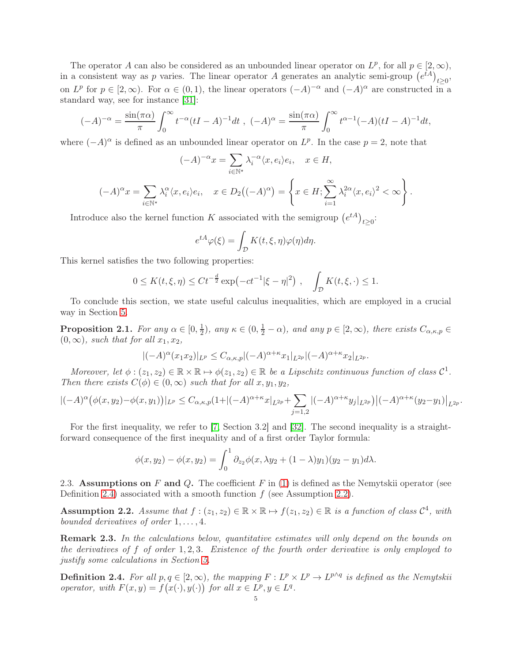The operator A can also be considered as an unbounded linear operator on  $L^p$ , for all  $p \in [2,\infty)$ , in a consistent way as p varies. The linear operator A generates an analytic semi-group  $(e^{tA})_{t\geq 0}$ , on  $L^p$  for  $p \in [2,\infty)$ . For  $\alpha \in (0,1)$ , the linear operators  $(-A)^{-\alpha}$  and  $(-A)^{\alpha}$  are constructed in a standard way, see for instance [\[31\]](#page-31-11):

$$
(-A)^{-\alpha} = \frac{\sin(\pi \alpha)}{\pi} \int_0^{\infty} t^{-\alpha} (tI - A)^{-1} dt , (-A)^{\alpha} = \frac{\sin(\pi \alpha)}{\pi} \int_0^{\infty} t^{\alpha - 1} (-A)(tI - A)^{-1} dt,
$$

where  $(-A)^{\alpha}$  is defined as an unbounded linear operator on  $L^p$ . In the case  $p=2$ , note that

$$
(-A)^{-\alpha}x = \sum_{i \in \mathbb{N}^*} \lambda_i^{-\alpha} \langle x, e_i \rangle e_i, \quad x \in H,
$$
  

$$
(-A)^{\alpha}x = \sum_{i \in \mathbb{N}^*} \lambda_i^{\alpha} \langle x, e_i \rangle e_i, \quad x \in D_2\big((-A)^{\alpha}\big) = \left\{x \in H; \sum_{i=1}^{\infty} \lambda_i^{2\alpha} \langle x, e_i \rangle^2 < \infty\right\}.
$$

Introduce also the kernel function K associated with the semigroup  $(e^{tA})_{t\geq 0}$ :

$$
e^{tA}\varphi(\xi) = \int_{\mathcal{D}} K(t,\xi,\eta)\varphi(\eta)d\eta.
$$

This kernel satisfies the two following properties:

$$
0 \le K(t,\xi,\eta) \le Ct^{-\frac{d}{2}} \exp(-ct^{-1}|\xi-\eta|^2) , \quad \int_{\mathcal{D}} K(t,\xi,\cdot) \le 1.
$$

To conclude this section, we state useful calculus inequalities, which are employed in a crucial way in Section [5.](#page-11-2)

<span id="page-4-2"></span>**Proposition 2.1.** For any  $\alpha \in [0, \frac{1}{2}]$  $(\frac{1}{2})$ , any  $\kappa \in (0, \frac{1}{2} - \alpha)$ , and any  $p \in [2, \infty)$ , there exists  $C_{\alpha,\kappa,p} \in$  $(0, \infty)$ , such that for all  $x_1, x_2$ ,

$$
|(-A)^{\alpha}(x_1x_2)|_{L^p} \leq C_{\alpha,\kappa,p}|(-A)^{\alpha+\kappa}x_1|_{L^{2p}}|(-A)^{\alpha+\kappa}x_2|_{L^{2p}}.
$$

Moreover, let  $\phi: (z_1, z_2) \in \mathbb{R} \times \mathbb{R} \mapsto \phi(z_1, z_2) \in \mathbb{R}$  be a Lipschitz continuous function of class  $\mathcal{C}^1$ . Then there exists  $C(\phi) \in (0,\infty)$  such that for all  $x, y_1, y_2$ ,

$$
|(-A)^{\alpha}(\phi(x,y_2)-\phi(x,y_1))|_{L^p} \leq C_{\alpha,\kappa,p}(1+|(-A)^{\alpha+\kappa}x|_{L^{2p}}+\sum_{j=1,2}|(-A)^{\alpha+\kappa}y_j|_{L^{2p}}\Big)|(-A)^{\alpha+\kappa}(y_2-y_1)|_{L^{2p}}.
$$

For the first inequality, we refer to [\[7,](#page-30-18) Section 3.2] and [\[32\]](#page-31-12). The second inequality is a straightforward consequence of the first inequality and of a first order Taylor formula:

$$
\phi(x, y_2) - \phi(x, y_2) = \int_0^1 \partial_{z_2} \phi(x, \lambda y_2 + (1 - \lambda) y_1)(y_2 - y_1) d\lambda.
$$

2.3. Assumptions on F and Q. The coefficient F in  $(1)$  is defined as the Nemytskii operator (see Definition [2.4\)](#page-4-0) associated with a smooth function  $f$  (see Assumption [2.2\)](#page-4-1).

<span id="page-4-1"></span>Assumption 2.2. Assume that  $f : (z_1, z_2) \in \mathbb{R} \times \mathbb{R} \mapsto f(z_1, z_2) \in \mathbb{R}$  is a function of class  $\mathcal{C}^4$ , with bounded derivatives of order  $1, \ldots, 4$ .

**Remark 2.3.** In the calculations below, quantitative estimates will only depend on the bounds on the derivatives of f of order  $1, 2, 3$ . Existence of the fourth order derivative is only employed to justify some calculations in Section [5.](#page-11-2)

<span id="page-4-0"></span>**Definition 2.4.** For all  $p, q \in [2, \infty)$ , the mapping  $F: L^p \times L^p \to L^{p \wedge q}$  is defined as the Nemytskii operator, with  $F(x, y) = f(x(\cdot), y(\cdot))$  for all  $x \in L^p, y \in L^q$ .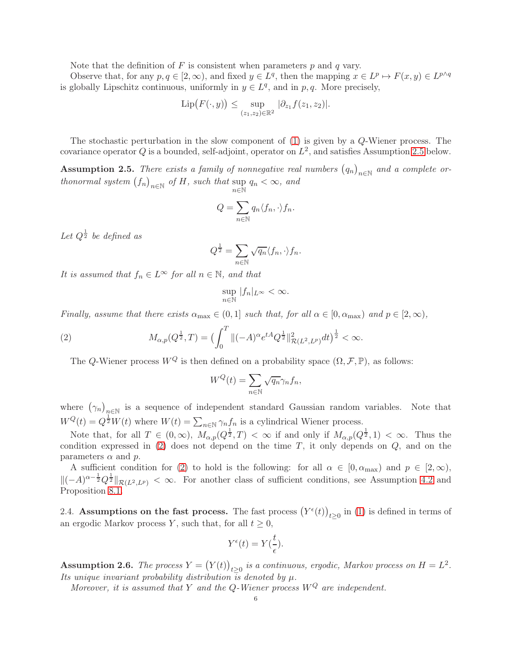Note that the definition of  $F$  is consistent when parameters  $p$  and  $q$  vary.

Observe that, for any  $p, q \in [2, \infty)$ , and fixed  $y \in L^q$ , then the mapping  $x \in L^p \mapsto F(x, y) \in L^{p \wedge q}$ is globally Lipschitz continuous, uniformly in  $y \in L^q$ , and in p, q. More precisely,

$$
\text{Lip}(F(\cdot,y)) \leq \sup_{(z_1,z_2)\in\mathbb{R}^2} |\partial_{z_1} f(z_1,z_2)|.
$$

The stochastic perturbation in the slow component of [\(1\)](#page-2-0) is given by a Q-Wiener process. The covariance operator Q is a bounded, self-adjoint, operator on  $L^2$ , and satisfies Assumption [2.5](#page-5-0) below.

<span id="page-5-0"></span>**Assumption 2.5.** There exists a family of nonnegative real numbers  $(q_n)_{n\in\mathbb{N}}$  and a complete orthonormal system  $(f_n)_{n \in \mathbb{N}}$  of H, such that sup  $\sup_{n\in\mathbb{N}} q_n < \infty$ , and

$$
Q = \sum_{n \in \mathbb{N}} q_n \langle f_n, \cdot \rangle f_n.
$$

Let  $Q^{\frac{1}{2}}$  be defined as

$$
Q^{\frac{1}{2}} = \sum_{n \in \mathbb{N}} \sqrt{q_n} \langle f_n, \cdot \rangle f_n.
$$

It is assumed that  $f_n \in L^{\infty}$  for all  $n \in \mathbb{N}$ , and that

$$
\sup_{n\in\mathbb{N}}|f_n|_{L^{\infty}}<\infty.
$$

Finally, assume that there exists  $\alpha_{\text{max}} \in (0,1]$  such that, for all  $\alpha \in [0, \alpha_{\text{max}})$  and  $p \in [2,\infty)$ ,

(2) 
$$
M_{\alpha,p}(Q^{\frac{1}{2}},T) = \left(\int_0^T \|(-A)^{\alpha} e^{tA} Q^{\frac{1}{2}}\|_{\mathcal{R}(L^2, L^p)}^2 dt\right)^{\frac{1}{2}} < \infty.
$$

The Q-Wiener process  $W^Q$  is then defined on a probability space  $(\Omega, \mathcal{F}, \mathbb{P})$ , as follows:

<span id="page-5-2"></span>
$$
W^{Q}(t) = \sum_{n \in \mathbb{N}} \sqrt{q_n} \gamma_n f_n,
$$

where  $(\gamma_n)_{n\in\mathbb{N}}$  is a sequence of independent standard Gaussian random variables. Note that  $W^{Q}(t) = Q^{\frac{1}{2}}W(t)$  where  $W(t) = \sum_{n \in \mathbb{N}} \gamma_n f_n$  is a cylindrical Wiener process.

Note that, for all  $T \in (0,\infty)$ ,  $M_{\alpha,p}(Q^{\frac{1}{2}},T) < \infty$  if and only if  $M_{\alpha,p}(Q^{\frac{1}{2}},1) < \infty$ . Thus the condition expressed in  $(2)$  does not depend on the time T, it only depends on  $Q$ , and on the parameters  $\alpha$  and  $p$ .

A sufficient condition for [\(2\)](#page-5-2) to hold is the following: for all  $\alpha \in [0, \alpha_{\text{max}})$  and  $p \in [2, \infty)$ ,  $\|(-A)^{\alpha-\frac{1}{2}}Q^{\frac{1}{2}}\|_{\mathcal{R}(L^2,L^p)} < \infty$ . For another class of sufficient conditions, see Assumption [4.2](#page-9-2) and Proposition [8.1.](#page-21-1)

2.4. Assumptions on the fast process. The fast process  $(Y^{\epsilon}(t))_{t\geq0}$  in [\(1\)](#page-2-0) is defined in terms of an ergodic Markov process Y, such that, for all  $t \geq 0$ ,

$$
Y^{\epsilon}(t) = Y(\frac{t}{\epsilon}).
$$

<span id="page-5-1"></span>**Assumption 2.6.** The process  $Y = (Y(t))_{t \geq 0}$  is a continuous, ergodic, Markov process on  $H = L^2$ . Its unique invariant probability distribution is denoted by  $\mu$ .

Moreover, it is assumed that Y and the Q-Wiener process  $W^Q$  are independent.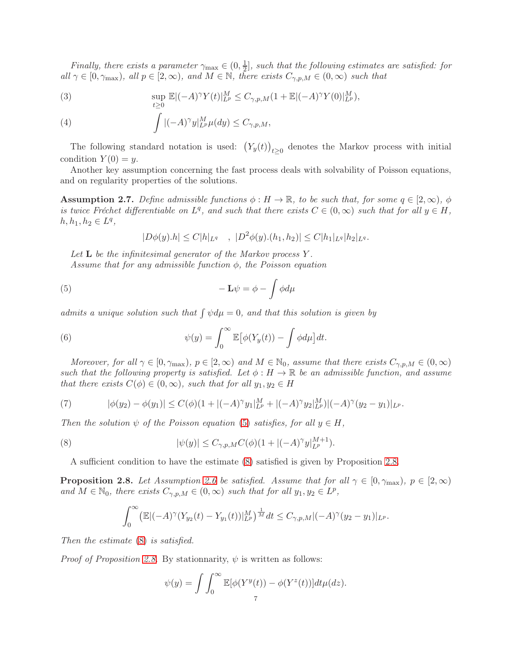Finally, there exists a parameter  $\gamma_{\text{max}} \in (0, \frac{1}{2})$  $\frac{1}{2}$ , such that the following estimates are satisfied: for all  $\gamma \in [0, \gamma_{\max})$ , all  $p \in [2, \infty)$ , and  $M \in \mathbb{N}$ , there exists  $C_{\gamma, p, M} \in (0, \infty)$  such that

(3) 
$$
\sup_{t\geq 0} \mathbb{E}|(-A)^{\gamma} Y(t)|_{L^p}^M \leq C_{\gamma,p,M} (1+\mathbb{E}|(-A)^{\gamma} Y(0)|_{L^p}^M),
$$

(4) 
$$
\int |(-A)^{\gamma}y|_{L^p}^M \mu(dy) \leq C_{\gamma,p,M},
$$

The following standard notation is used:  $(Y_y(t))_{t\geq0}$  denotes the Markov process with initial condition  $Y(0) = y$ .

Another key assumption concerning the fast process deals with solvability of Poisson equations, and on regularity properties of the solutions.

<span id="page-6-4"></span>**Assumption 2.7.** Define admissible functions  $\phi : H \to \mathbb{R}$ , to be such that, for some  $q \in [2,\infty)$ ,  $\phi$ is twice Fréchet differentiable on  $L^q$ , and such that there exists  $C \in (0, \infty)$  such that for all  $y \in H$ ,  $h, h_1, h_2 \in L^q$ ,

<span id="page-6-0"></span>
$$
|D\phi(y).h| \le C|h|_{L^q} \quad , \ |D^2\phi(y).(h_1,h_2)| \le C|h_1|_{L^q}|h_2|_{L^q}.
$$

Let  $L$  be the infinitesimal generator of the Markov process  $Y$ .

Assume that for any admissible function  $\phi$ , the Poisson equation

(5) 
$$
-\mathbf{L}\psi = \phi - \int \phi d\mu
$$

admits a unique solution such that  $\int \psi d\mu = 0$ , and that this solution is given by

(6) 
$$
\psi(y) = \int_0^\infty \mathbb{E} \big[ \phi(Y_y(t)) - \int \phi d\mu \big] dt.
$$

Moreover, for all  $\gamma \in [0, \gamma_{\text{max}}), p \in [2, \infty)$  and  $M \in \mathbb{N}_0$ , assume that there exists  $C_{\gamma, p, M} \in (0, \infty)$ such that the following property is satisfied. Let  $\phi : H \to \mathbb{R}$  be an admissible function, and assume that there exists  $C(\phi) \in (0,\infty)$ , such that for all  $y_1, y_2 \in H$ 

<span id="page-6-3"></span>(7) 
$$
|\phi(y_2) - \phi(y_1)| \le C(\phi)(1 + |(-A)^{\gamma}y_1|_{L^p}^M + |(-A)^{\gamma}y_2|_{L^p}^M)|(-A)^{\gamma}(y_2 - y_1)|_{L^p}.
$$

Then the solution  $\psi$  of the Poisson equation [\(5\)](#page-6-0) satisfies, for all  $y \in H$ ,

(8) 
$$
|\psi(y)| \leq C_{\gamma,p,M} C(\phi) (1+|(-A)^\gamma y|_{L^p}^{M+1}).
$$

A sufficient condition to have the estimate [\(8\)](#page-6-1) satisfied is given by Proposition [2.8.](#page-6-2)

<span id="page-6-2"></span>**Proposition 2.8.** Let Assumption [2.6](#page-5-1) be satisfied. Assume that for all  $\gamma \in [0, \gamma_{\text{max}}), p \in [2, \infty)$ and  $M \in \mathbb{N}_0$ , there exists  $C_{\gamma,p,M} \in (0,\infty)$  such that for all  $y_1, y_2 \in L^p$ ,

<span id="page-6-1"></span>
$$
\int_0^{\infty} \left( \mathbb{E} |(-A)^\gamma (Y_{y_2}(t) - Y_{y_1}(t))|_{L^p}^M \right)^{\frac{1}{M}} dt \leq C_{\gamma, p, M} |(-A)^\gamma (y_2 - y_1)|_{L^p}.
$$

Then the estimate [\(8\)](#page-6-1) is satisfied.

*Proof of Proposition [2.8.](#page-6-2)* By stationnarity,  $\psi$  is written as follows:

$$
\psi(y) = \int \int_0^\infty \mathbb{E}[\phi(Y^y(t)) - \phi(Y^z(t))]dt \mu(dz).
$$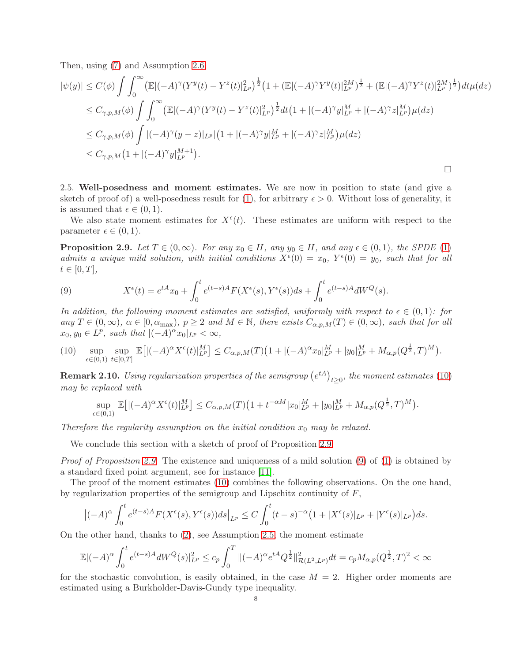Then, using [\(7\)](#page-6-3) and Assumption [2.6,](#page-5-1)

$$
\begin{split}\n|\psi(y)| &\leq C(\phi) \int \int_0^\infty \left( \mathbb{E} |(-A)^\gamma (Y^y(t) - Y^z(t)|_{L^p}^2)^\frac{1}{2} \left( 1 + (\mathbb{E}|(-A)^\gamma Y^y(t)|_{L^p}^{2M})^\frac{1}{2} + (\mathbb{E}|(-A)^\gamma Y^z(t)|_{L^p}^{2M})^\frac{1}{2} \right) dt \mu(dz) \\
&\leq C_{\gamma,p,M}(\phi) \int \int_0^\infty \left( \mathbb{E}|(-A)^\gamma (Y^y(t) - Y^z(t)|_{L^p}^2)^\frac{1}{2} dt \left( 1 + |(-A)^\gamma y|_{L^p}^M + |(-A)^\gamma z|_{L^p}^M \right) \mu(dz) \\
&\leq C_{\gamma,p,M}(\phi) \int |(-A)^\gamma (y-z)|_{L^p} \left| (1 + |(-A)^\gamma y|_{L^p}^M + |(-A)^\gamma z|_{L^p}^M \right) \mu(dz) \\
&\leq C_{\gamma,p,M} (1 + |(-A)^\gamma y|_{L^p}^{M+1}).\n\end{split}
$$

 $\Box$ 

2.5. Well-posedness and moment estimates. We are now in position to state (and give a sketch of proof of) a well-posedness result for [\(1\)](#page-2-0), for arbitrary  $\epsilon > 0$ . Without loss of generality, it is assumed that  $\epsilon \in (0,1)$ .

We also state moment estimates for  $X^{\epsilon}(t)$ . These estimates are uniform with respect to the parameter  $\epsilon \in (0,1)$ .

<span id="page-7-1"></span>**Proposition 2.9.** Let  $T \in (0,\infty)$ . For any  $x_0 \in H$ , any  $y_0 \in H$ , and any  $\epsilon \in (0,1)$ , the SPDE [\(1\)](#page-2-0) admits a unique mild solution, with initial conditions  $X^{\epsilon}(0) = x_0$ ,  $Y^{\epsilon}(0) = y_0$ , such that for all  $t\in[0,T],$ 

<span id="page-7-2"></span>(9) 
$$
X^{\epsilon}(t) = e^{tA}x_0 + \int_0^t e^{(t-s)A} F(X^{\epsilon}(s), Y^{\epsilon}(s)) ds + \int_0^t e^{(t-s)A} dW^Q(s).
$$

In addition, the following moment estimates are satisfied, uniformly with respect to  $\epsilon \in (0,1)$ : for any  $T \in (0,\infty)$ ,  $\alpha \in [0,\alpha_{\max})$ ,  $p \geq 2$  and  $M \in \mathbb{N}$ , there exists  $C_{\alpha,p,M}(T) \in (0,\infty)$ , such that for all  $x_0, y_0 \in L^p$ , such that  $\vert (-A)^\alpha x_0 \vert_{L^p} < \infty$ ,

<span id="page-7-0"></span>
$$
(10) \quad \sup_{\epsilon \in (0,1)} \sup_{t \in [0,T]} \mathbb{E}\big[ |(-A)^{\alpha} X^{\epsilon}(t)|_{L^{p}}^{M} \big] \leq C_{\alpha,p,M}(T) \big( 1 + |(-A)^{\alpha} x_{0}|_{L^{p}}^{M} + |y_{0}|_{L^{p}}^{M} + M_{\alpha,p}(Q^{\frac{1}{2}},T)^{M} \big).
$$

**Remark 2.10.** Using regularization properties of the semigroup  $(e^{tA})_{t\geq0}$ , the moment estimates [\(10\)](#page-7-0) may be replaced with

$$
\sup_{\epsilon \in (0,1)} \mathbb{E} \big[ |(-A)^{\alpha} X^{\epsilon}(t)|_{L^{p}}^{M} \big] \leq C_{\alpha,p,M}(T) \big( 1 + t^{-\alpha M} |x_{0}|_{L^{p}}^{M} + |y_{0}|_{L^{p}}^{M} + M_{\alpha,p}(Q^{\frac{1}{2}},T)^{M} \big).
$$

Therefore the regularity assumption on the initial condition  $x_0$  may be relaxed.

We conclude this section with a sketch of proof of Proposition [2.9.](#page-7-1)

*Proof of Proposition [2.9.](#page-7-1)* The existence and uniqueness of a mild solution  $(9)$  of  $(1)$  is obtained by a standard fixed point argument, see for instance [\[11\]](#page-30-2).

The proof of the moment estimates [\(10\)](#page-7-0) combines the following observations. On the one hand, by regularization properties of the semigroup and Lipschitz continuity of  $F$ ,

$$
\left| (-A)^{\alpha} \int_0^t e^{(t-s)A} F(X^{\epsilon}(s), Y^{\epsilon}(s)) ds \right|_{L^p} \leq C \int_0^t (t-s)^{-\alpha} \left( 1 + |X^{\epsilon}(s)|_{L^p} + |Y^{\epsilon}(s)|_{L^p} \right) ds.
$$

On the other hand, thanks to [\(2\)](#page-5-2), see Assumption [2.5,](#page-5-0) the moment estimate

$$
\mathbb{E}|(-A)^{\alpha} \int_{0}^{t} e^{(t-s)A} dW^{Q}(s)|_{L^{p}}^{2} \leq c_{p} \int_{0}^{T} \|(-A)^{\alpha} e^{tA} Q^{\frac{1}{2}} \|_{\mathcal{R}(L^{2}, L^{p})}^{2} dt = c_{p} M_{\alpha, p} (Q^{\frac{1}{2}}, T)^{2} < \infty
$$

for the stochastic convolution, is easily obtained, in the case  $M = 2$ . Higher order moments are estimated using a Burkholder-Davis-Gundy type inequality.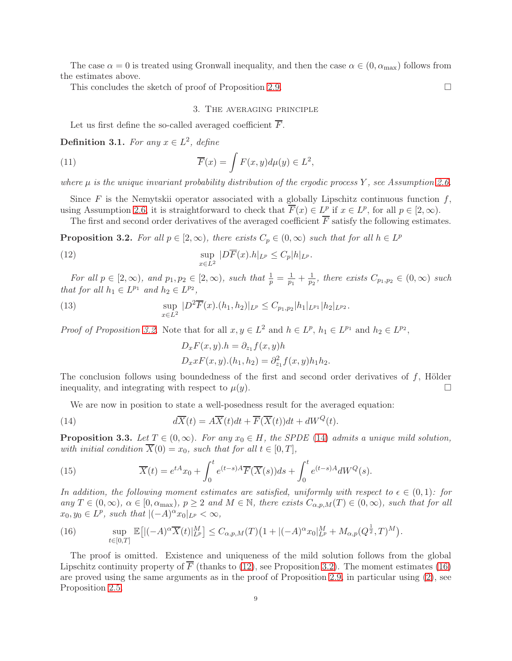The case  $\alpha = 0$  is treated using Gronwall inequality, and then the case  $\alpha \in (0, \alpha_{\text{max}})$  follows from the estimates above.

<span id="page-8-0"></span>This concludes the sketch of proof of Proposition [2.9.](#page-7-1)  $\Box$ 

## 3. The averaging principle

Let us first define the so-called averaged coefficient  $\overline{F}$ .

**Definition 3.1.** For any  $x \in L^2$ , define

(11) 
$$
\overline{F}(x) = \int F(x, y) d\mu(y) \in L^2,
$$

where  $\mu$  is the unique invariant probability distribution of the ergodic process Y, see Assumption [2.6.](#page-5-1)

Since F is the Nemytskii operator associated with a globally Lipschitz continuous function  $f$ , using Assumption [2.6,](#page-5-1) it is straightforward to check that  $\overline{F}(x) \in L^p$  if  $x \in L^p$ , for all  $p \in [2, \infty)$ .

The first and second order derivatives of the averaged coefficient  $\overline{F}$  satisfy the following estimates.

<span id="page-8-1"></span>**Proposition 3.2.** For all  $p \in [2, \infty)$ , there exists  $C_p \in (0, \infty)$  such that for all  $h \in L^p$ 

(12) 
$$
\sup_{x \in L^2} |D\overline{F}(x).h|_{L^p} \leq C_p |h|_{L^p}.
$$

For all  $p \in [2, \infty)$ , and  $p_1, p_2 \in [2, \infty)$ , such that  $\frac{1}{p} = \frac{1}{p_1}$  $\frac{1}{p_1} + \frac{1}{p_2}$  $\frac{1}{p_2}$ , there exists  $C_{p_1,p_2} \in (0,\infty)$  such that for all  $h_1 \in L^{p_1}$  and  $h_2 \in L^{p_2}$ ,

(13) 
$$
\sup_{x \in L^2} |D^2 \overline{F}(x) \cdot (h_1, h_2)|_{L^p} \leq C_{p_1, p_2} |h_1|_{L^{p_1}} |h_2|_{L^{p_2}}.
$$

*Proof of Proposition [3.2.](#page-8-1)* Note that for all  $x, y \in L^2$  and  $h \in L^p$ ,  $h_1 \in L^{p_1}$  and  $h_2 \in L^{p_2}$ ,

<span id="page-8-7"></span><span id="page-8-3"></span><span id="page-8-2"></span>
$$
D_x F(x, y).h = \partial_{z_1} f(x, y)h
$$
  

$$
D_x x F(x, y). (h_1, h_2) = \partial_{z_1}^2 f(x, y)h_1 h_2.
$$

The conclusion follows using boundedness of the first and second order derivatives of f, Hölder inequality, and integrating with respect to  $\mu(y)$ .

We are now in position to state a well-posedness result for the averaged equation:

(14) 
$$
d\overline{X}(t) = A\overline{X}(t)dt + \overline{F}(\overline{X}(t))dt + dW^{Q}(t).
$$

<span id="page-8-6"></span>**Proposition 3.3.** Let  $T \in (0,\infty)$ . For any  $x_0 \in H$ , the SPDE [\(14\)](#page-8-2) admits a unique mild solution, with initial condition  $\overline{X}(0) = x_0$ , such that for all  $t \in [0, T]$ ,

<span id="page-8-5"></span>(15) 
$$
\overline{X}(t) = e^{tA}x_0 + \int_0^t e^{(t-s)A}\overline{F}(\overline{X}(s))ds + \int_0^t e^{(t-s)A}dW^Q(s).
$$

In addition, the following moment estimates are satisfied, uniformly with respect to  $\epsilon \in (0,1)$ : for any  $T \in (0,\infty)$ ,  $\alpha \in [0,\alpha_{\max})$ ,  $p \geq 2$  and  $M \in \mathbb{N}$ , there exists  $C_{\alpha,p,M}(T) \in (0,\infty)$ , such that for all  $x_0, y_0 \in L^p$ , such that  $\vert (-A)^\alpha x_0 \vert_{L^p} < \infty$ ,

<span id="page-8-4"></span>(16) 
$$
\sup_{t\in[0,T]}\mathbb{E}\big[|(-A)^{\alpha}\overline{X}(t)|_{L^{p}}^{M}\big]\leq C_{\alpha,p,M}(T)\big(1+|(-A)^{\alpha}x_{0}|_{L^{p}}^{M}+M_{\alpha,p}(Q^{\frac{1}{2}},T)^{M}\big).
$$

The proof is omitted. Existence and uniqueness of the mild solution follows from the global Lipschitz continuity property of  $\overline{F}$  (thanks to [\(12\)](#page-8-3), see Proposition [3.2\)](#page-8-1). The moment estimates [\(16\)](#page-8-4) are proved using the same arguments as in the proof of Proposition [2.9,](#page-7-1) in particular using [\(2\)](#page-5-2), see Proposition [2.5.](#page-5-0)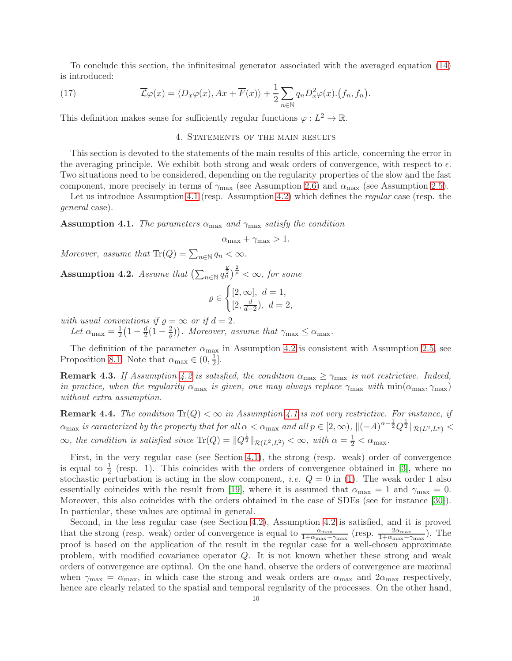To conclude this section, the infinitesimal generator associated with the averaged equation [\(14\)](#page-8-2) is introduced:

(17) 
$$
\overline{\mathcal{L}}\varphi(x) = \langle D_x \varphi(x), Ax + \overline{F}(x) \rangle + \frac{1}{2} \sum_{n \in \mathbb{N}} q_n D_x^2 \varphi(x). (f_n, f_n).
$$

<span id="page-9-0"></span>This definition makes sense for sufficiently regular functions  $\varphi: L^2 \to \mathbb{R}$ .

## <span id="page-9-3"></span>4. STATEMENTS OF THE MAIN RESULTS

This section is devoted to the statements of the main results of this article, concerning the error in the averaging principle. We exhibit both strong and weak orders of convergence, with respect to  $\epsilon$ . Two situations need to be considered, depending on the regularity properties of the slow and the fast component, more precisely in terms of  $\gamma_{\text{max}}$  (see Assumption [2.6\)](#page-5-1) and  $\alpha_{\text{max}}$  (see Assumption [2.5\)](#page-5-0).

Let us introduce Assumption [4.1](#page-9-1) (resp. Assumption [4.2\)](#page-9-2) which defines the *regular* case (resp. the general case).

<span id="page-9-1"></span>**Assumption 4.1.** The parameters  $\alpha_{\text{max}}$  and  $\gamma_{\text{max}}$  satisfy the condition

$$
\alpha_{\max} + \gamma_{\max} > 1.
$$

Moreover, assume that  $\text{Tr}(Q) = \sum_{n \in \mathbb{N}} q_n < \infty$ .

<span id="page-9-2"></span>Assumption 4.2. Assume that  $\left(\sum_{n\in\mathbb{N}}q_n^{\frac{\rho}{2}}\right)^{\frac{2}{\rho}}<\infty$ , for some

$$
\varrho \in \begin{cases} [2, \infty], \ d = 1, \\ [2, \frac{d}{d-2}), \ d = 2, \end{cases}
$$

with usual conventions if  $\varrho = \infty$  or if  $d = 2$ .

Let  $\alpha_{\text{max}} = \frac{1}{2}$  $rac{1}{2}(1-\frac{d}{2})$  $\frac{d}{2}(1-\frac{2}{\varrho})\big$ . Moreover, assume that  $\gamma_{\max} \leq \alpha_{\max}$ .

The definition of the parameter  $\alpha_{\text{max}}$  in Assumption [4.2](#page-9-2) is consistent with Assumption [2.5,](#page-5-0) see Proposition [8.1.](#page-21-1) Note that  $\alpha_{\text{max}} \in (0, \frac{1}{2})$  $\frac{1}{2}$ .

**Remark 4.3.** If Assumption [4.2](#page-9-2) is satisfied, the condition  $\alpha_{\text{max}} \geq \gamma_{\text{max}}$  is not restrictive. Indeed, in practice, when the regularity  $\alpha_{\text{max}}$  is given, one may always replace  $\gamma_{\text{max}}$  with  $\min(\alpha_{\text{max}}, \gamma_{\text{max}})$ without extra assumption.

**Remark 4.4.** The condition  $\text{Tr}(Q) < \infty$  in Assumption [4.1](#page-9-1) is not very restrictive. For instance, if  $\alpha_{\text{max}}$  is caracterized by the property that for all  $\alpha < \alpha_{\text{max}}$  and all  $p \in [2, \infty)$ ,  $\|(-A)^{\alpha - \frac{1}{2}}Q^{\frac{1}{2}}\|_{\mathcal{R}(L^2, L^p)} <$  $\infty$ , the condition is satisfied since  $\text{Tr}(Q) = ||Q^{\frac{1}{2}}||_{\mathcal{R}(L^2, L^2)} < \infty$ , with  $\alpha = \frac{1}{2} < \alpha_{\text{max}}$ .

First, in the very regular case (see Section [4.1\)](#page-10-2), the strong (resp. weak) order of convergence is equal to  $\frac{1}{2}$  (resp. 1). This coincides with the orders of convergence obtained in [\[3\]](#page-30-6), where no stochastic perturbation is acting in the slow component, *i.e.*  $Q = 0$  in [\(1\)](#page-2-0). The weak order 1 also essentially coincides with the result from [\[19\]](#page-30-11), where it is assumed that  $\alpha_{\text{max}} = 1$  and  $\gamma_{\text{max}} = 0$ . Moreover, this also coincides with the orders obtained in the case of SDEs (see for instance [\[30\]](#page-31-1)). In particular, these values are optimal in general.

Second, in the less regular case (see Section [4.2\)](#page-11-1), Assumption [4.2](#page-9-2) is satisfied, and it is proved that the strong (resp. weak) order of convergence is equal to  $\frac{\alpha_{\text{max}}}{1+\alpha_{\text{max}}-\gamma_{\text{max}}}$  (resp.  $\frac{2\alpha_{\text{max}}}{1+\alpha_{\text{max}}-\gamma_{\text{max}}}$ ). The proof is based on the application of the result in the regular case for a well-chosen approximate problem, with modified covariance operator Q. It is not known whether these strong and weak orders of convergence are optimal. On the one hand, observe the orders of convergence are maximal when  $\gamma_{\text{max}} = \alpha_{\text{max}}$ , in which case the strong and weak orders are  $\alpha_{\text{max}}$  and  $2\alpha_{\text{max}}$  respectively, hence are clearly related to the spatial and temporal regularity of the processes. On the other hand,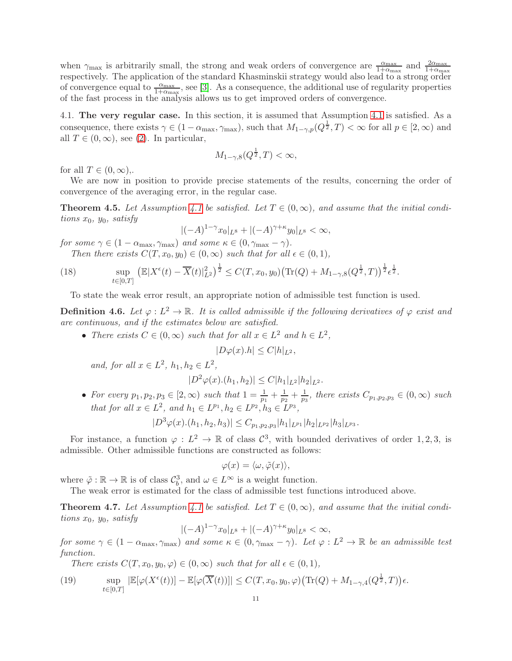when  $\gamma_{\text{max}}$  is arbitrarily small, the strong and weak orders of convergence are  $\frac{\alpha_{\text{max}}}{1+\alpha_{\text{max}}}$  and  $\frac{2\alpha_{\text{max}}}{1+\alpha_{\text{max}}}$ respectively. The application of the standard Khasminskii strategy would also lead to a strong order of convergence equal to  $\frac{\alpha_{\text{max}}}{1+\alpha_{\text{max}}}$ , see [\[3\]](#page-30-6). As a consequence, the additional use of regularity properties of the fast process in the analysis allows us to get improved orders of convergence.

<span id="page-10-2"></span>4.1. The very regular case. In this section, it is assumed that Assumption [4.1](#page-9-1) is satisfied. As a consequence, there exists  $\gamma \in (1 - \alpha_{\max}, \gamma_{\max})$ , such that  $M_{1-\gamma,p}(Q^{\frac{1}{2}}, T) < \infty$  for all  $p \in [2, \infty)$  and all  $T \in (0, \infty)$ , see [\(2\)](#page-5-2). In particular,

$$
M_{1-\gamma,8}(Q^{\frac{1}{2}},T)<\infty,
$$

for all  $T \in (0, \infty)$ ,.

<span id="page-10-3"></span> $t\in[0,T]$ 

We are now in position to provide precise statements of the results, concerning the order of convergence of the averaging error, in the regular case.

<span id="page-10-0"></span>**Theorem 4.5.** Let Assumption [4.1](#page-9-1) be satisfied. Let  $T \in (0, \infty)$ , and assume that the initial conditions  $x_0$ ,  $y_0$ , satisfy

$$
|(-A)^{1-\gamma}x_0|_{L^8} + |(-A)^{\gamma+\kappa}y_0|_{L^8} < \infty,
$$

for some  $\gamma \in (1 - \alpha_{\text{max}}, \gamma_{\text{max}})$  and some  $\kappa \in (0, \gamma_{\text{max}} - \gamma)$ . Then there exists  $C(T, x_0, y_0) \in (0, \infty)$  such that for all  $\epsilon \in (0, 1)$ ,

(18)  $\sup_{t\in[0,T]} \left( \mathbb{E}|X^{\epsilon}(t) - \overline{X}(t)|_{L^{2}}^{2} \right)^{\frac{1}{2}} \leq C(T,x_{0},y_{0}) \left( \text{Tr}(Q) + M_{1-\gamma,8}(Q^{\frac{1}{2}},T) \right)^{\frac{1}{2}} \epsilon^{\frac{1}{2}}.$ 

To state the weak error result, an appropriate notion of admissible test function is used.

**Definition 4.6.** Let  $\varphi: L^2 \to \mathbb{R}$ . It is called admissible if the following derivatives of  $\varphi$  exist and are continuous, and if the estimates below are satisfied.

• There exists  $C \in (0, \infty)$  such that for all  $x \in L^2$  and  $h \in L^2$ ,

$$
|D\varphi(x).h| \le C|h|_{L^2},
$$

and, for all  $x \in L^2$ ,  $h_1, h_2 \in L^2$ ,

$$
|D^2\varphi(x).(h_1,h_2)| \leq C |h_1|_{L^2} |h_2|_{L^2}.
$$

• For every  $p_1, p_2, p_3 \in [2, \infty)$  such that  $1 = \frac{1}{p_1} + \frac{1}{p_2}$  $\frac{1}{p_2} + \frac{1}{p_3}$  $\frac{1}{p_3}$ , there exists  $C_{p_1,p_2,p_3} \in (0,\infty)$  such that for all  $x \in L^2$ , and  $h_1 \in L^{p_1}, h_2 \in L^{p_2}, h_3 \in L^{p_3}$ ,

$$
|D^{3}\varphi(x).(h_1,h_2,h_3)| \leq C_{p_1,p_2,p_3} |h_1|_{L^{p_1}} |h_2|_{L^{p_2}} |h_3|_{L^{p_3}}.
$$

For instance, a function  $\varphi: L^2 \to \mathbb{R}$  of class  $\mathcal{C}^3$ , with bounded derivatives of order 1, 2, 3, is admissible. Other admissible functions are constructed as follows:

$$
\varphi(x) = \langle \omega, \tilde{\varphi}(x) \rangle,
$$

where  $\tilde{\varphi} : \mathbb{R} \to \mathbb{R}$  is of class  $\mathcal{C}_b^3$ , and  $\omega \in L^\infty$  is a weight function.

The weak error is estimated for the class of admissible test functions introduced above.

<span id="page-10-1"></span>**Theorem 4.7.** Let Assumption [4.1](#page-9-1) be satisfied. Let  $T \in (0,\infty)$ , and assume that the initial conditions  $x_0$ ,  $y_0$ , satisfy

$$
|(-A)^{1-\gamma}x_0|_{L^8}+|(-A)^{\gamma+\kappa}y_0|_{L^8}<\infty,
$$

for some  $\gamma \in (1 - \alpha_{\text{max}}, \gamma_{\text{max}})$  and some  $\kappa \in (0, \gamma_{\text{max}} - \gamma)$ . Let  $\varphi : L^2 \to \mathbb{R}$  be an admissible test function.

<span id="page-10-4"></span>There exists  $C(T, x_0, y_0, \varphi) \in (0, \infty)$  such that for all  $\epsilon \in (0, 1)$ ,

(19) 
$$
\sup_{t\in[0,T]}|\mathbb{E}[\varphi(X^{\epsilon}(t))]-\mathbb{E}[\varphi(\overline{X}(t))]|\leq C(T,x_0,y_0,\varphi)\big(\text{Tr}(Q)+M_{1-\gamma,4}(Q^{\frac{1}{2}},T)\big)\epsilon.
$$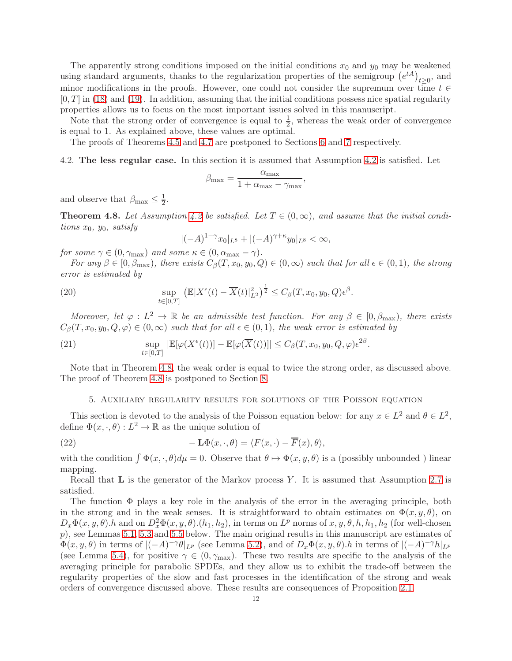The apparently strong conditions imposed on the initial conditions  $x_0$  and  $y_0$  may be weakened using standard arguments, thanks to the regularization properties of the semigroup  $(e^{tA})_{t\geq 0}$ , and minor modifications in the proofs. However, one could not consider the supremum over time  $t \in$  $[0, T]$  in [\(18\)](#page-10-3) and [\(19\)](#page-10-4). In addition, assuming that the initial conditions possess nice spatial regularity properties allows us to focus on the most important issues solved in this manuscript.

Note that the strong order of convergence is equal to  $\frac{1}{2}$ , whereas the weak order of convergence is equal to 1. As explained above, these values are optimal.

<span id="page-11-1"></span>The proofs of Theorems [4.5](#page-10-0) and [4.7](#page-10-1) are postponed to Sections [6](#page-13-0) and [7](#page-16-0) respectively.

### 4.2. The less regular case. In this section it is assumed that Assumption [4.2](#page-9-2) is satisfied. Let

$$
\beta_{\max} = \frac{\alpha_{\max}}{1 + \alpha_{\max} - \gamma_{\max}},
$$

and observe that  $\beta_{\text{max}} \leq \frac{1}{2}$  $\frac{1}{2}$ .

<span id="page-11-0"></span>**Theorem 4.8.** Let Assumption [4.2](#page-9-2) be satisfied. Let  $T \in (0,\infty)$ , and assume that the initial conditions  $x_0$ ,  $y_0$ , satisfy

$$
|(-A)^{1-\gamma}x_0|_{L^8} + |(-A)^{\gamma+\kappa}y_0|_{L^8} < \infty,
$$

for some  $\gamma \in (0, \gamma_{\text{max}})$  and some  $\kappa \in (0, \alpha_{\text{max}} - \gamma)$ .

For any  $\beta \in [0, \beta_{\max})$ , there exists  $C_{\beta}(T, x_0, y_0, Q) \in (0, \infty)$  such that for all  $\epsilon \in (0, 1)$ , the strong error is estimated by

(20) 
$$
\sup_{t \in [0,T]} ( \mathbb{E} |X^{\epsilon}(t) - \overline{X}(t)|_{L^{2}}^{2} )^{\frac{1}{2}} \leq C_{\beta}(T, x_{0}, y_{0}, Q) \epsilon^{\beta}.
$$

Moreover, let  $\varphi: L^2 \to \mathbb{R}$  be an admissible test function. For any  $\beta \in [0, \beta_{\max})$ , there exists  $C_{\beta}(T, x_0, y_0, Q, \varphi) \in (0, \infty)$  such that for all  $\epsilon \in (0, 1)$ , the weak error is estimated by

(21) 
$$
\sup_{t\in[0,T]}|\mathbb{E}[\varphi(X^{\epsilon}(t))]-\mathbb{E}[\varphi(\overline{X}(t))]|\leq C_{\beta}(T,x_0,y_0,Q,\varphi)\epsilon^{2\beta}.
$$

<span id="page-11-2"></span>Note that in Theorem [4.8,](#page-11-0) the weak order is equal to twice the strong order, as discussed above. The proof of Theorem [4.8](#page-11-0) is postponed to Section [8.](#page-21-0)

# <span id="page-11-3"></span>5. Auxiliary regularity results for solutions of the Poisson equation

This section is devoted to the analysis of the Poisson equation below: for any  $x \in L^2$  and  $\theta \in L^2$ , define  $\Phi(x, \cdot, \theta) : L^2 \to \mathbb{R}$  as the unique solution of

(22) 
$$
-\mathbf{L}\Phi(x,\cdot,\theta) = \langle F(x,\cdot) - \overline{F}(x),\theta \rangle,
$$

with the condition  $\int \Phi(x, \cdot, \theta) d\mu = 0$ . Observe that  $\theta \mapsto \Phi(x, y, \theta)$  is a (possibly unbounded) linear mapping.

Recall that  $\bf{L}$  is the generator of the Markov process Y. It is assumed that Assumption [2.7](#page-6-4) is satisfied.

The function  $\Phi$  plays a key role in the analysis of the error in the averaging principle, both in the strong and in the weak senses. It is straightforward to obtain estimates on  $\Phi(x, y, \theta)$ , on  $D_x\Phi(x,y,\theta)$ .h and on  $D_x^2\Phi(x,y,\theta)$ . $(h_1,h_2)$ , in terms on  $L^p$  norms of  $x, y, \theta, h, h_1, h_2$  (for well-chosen  $p$ ), see Lemmas [5.1,](#page-12-0) [5.3](#page-12-1) and [5.5](#page-13-1) below. The main original results in this manuscript are estimates of  $\Phi(x, y, \theta)$  in terms of  $|(-A)^{-\gamma} \theta|_{L^p}$  (see Lemma [5.2\)](#page-12-2), and of  $D_x \Phi(x, y, \theta)$ .h in terms of  $|(-A)^{-\gamma} h|_{L^p}$ (see Lemma [5.4\)](#page-13-2), for positive  $\gamma \in (0, \gamma_{\text{max}})$ . These two results are specific to the analysis of the averaging principle for parabolic SPDEs, and they allow us to exhibit the trade-off between the regularity properties of the slow and fast processes in the identification of the strong and weak orders of convergence discussed above. These results are consequences of Proposition [2.1.](#page-4-2)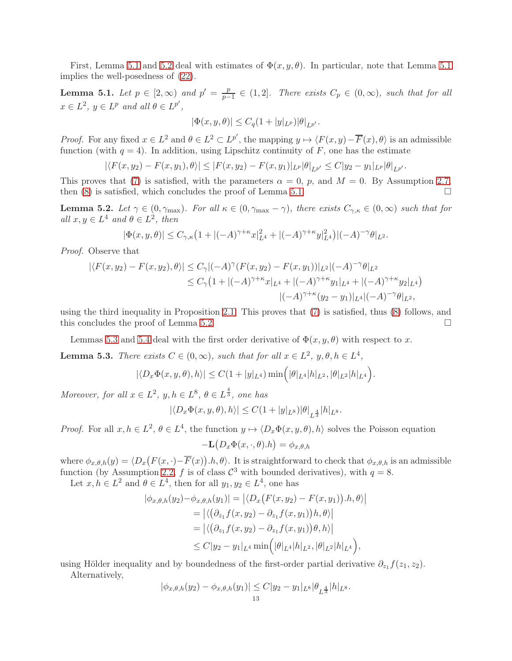First, Lemma [5.1](#page-12-0) and [5.2](#page-12-2) deal with estimates of  $\Phi(x, y, \theta)$ . In particular, note that Lemma 5.1 implies the well-posedness of [\(22\)](#page-11-3).

<span id="page-12-0"></span>**Lemma 5.1.** Let  $p \in [2, \infty)$  and  $p' = \frac{p}{p-1}$  $\frac{p}{p-1} \in (1,2]$ . There exists  $C_p \in (0,\infty)$ , such that for all  $x \in L^2$ ,  $y \in L^p$  and all  $\theta \in L^{p'}$ ,

$$
|\Phi(x, y, \theta)| \leq C_q (1 + |y|_{L^p}) |\theta|_{L^{p'}}.
$$

*Proof.* For any fixed  $x \in L^2$  and  $\theta \in L^2 \subset L^{p'}$ , the mapping  $y \mapsto \langle F(x, y) - \overline{F}(x), \theta \rangle$  is an admissible function (with  $q = 4$ ). In addition, using Lipschitz continuity of F, one has the estimate

 $|\langle F(x, y_2) - F(x, y_1), \theta \rangle| \leq |F(x, y_2) - F(x, y_1)|_{L^p} |\theta|_{L^{p'}} \leq C |y_2 - y_1|_{L^p} |\theta|_{L^{p'}}.$ 

This proves that [\(7\)](#page-6-3) is satisfied, with the parameters  $\alpha = 0$ , p, and  $M = 0$ . By Assumption [2.7,](#page-6-4) then  $(8)$  is satisfied, which concludes the proof of Lemma [5.1.](#page-12-0)

<span id="page-12-2"></span>**Lemma 5.2.** Let  $\gamma \in (0, \gamma_{\text{max}})$ . For all  $\kappa \in (0, \gamma_{\text{max}} - \gamma)$ , there exists  $C_{\gamma,\kappa} \in (0,\infty)$  such that for all  $x, y \in L^4$  and  $\theta \in L^2$ , then

$$
|\Phi(x, y, \theta)| \le C_{\gamma, \kappa} \left(1 + |(-A)^{\gamma + \kappa} x|_{L^4}^2 + |(-A)^{\gamma + \kappa} y|_{L^4}^2\right) |(-A)^{-\gamma} \theta|_{L^2}.
$$

Proof. Observe that

$$
|\langle F(x,y_2) - F(x,y_2), \theta \rangle| \le C_{\gamma} |(-A)^{\gamma} (F(x,y_2) - F(x,y_1))|_{L^2} |(-A)^{-\gamma} \theta|_{L^2}
$$
  
\n
$$
\le C_{\gamma} (1 + |(-A)^{\gamma + \kappa} x|_{L^4} + |(-A)^{\gamma + \kappa} y_1|_{L^4} + |(-A)^{\gamma + \kappa} y_2|_{L^4})
$$
  
\n
$$
|(-A)^{\gamma + \kappa} (y_2 - y_1)|_{L^4} |(-A)^{-\gamma} \theta|_{L^2},
$$

using the third inequality in Proposition [2.1.](#page-4-2) This proves that [\(7\)](#page-6-3) is satisfied, thus [\(8\)](#page-6-1) follows, and this concludes the proof of Lemma [5.2.](#page-12-2)

Lemmas [5.3](#page-12-1) and [5.4](#page-13-2) deal with the first order derivative of  $\Phi(x, y, \theta)$  with respect to x.

<span id="page-12-1"></span>**Lemma 5.3.** There exists  $C \in (0, \infty)$ , such that for all  $x \in L^2$ ,  $y, \theta, h \in L^4$ ,

$$
|\langle D_x \Phi(x, y, \theta), h \rangle| \le C(1 + |y|_{L^4}) \min(|\theta|_{L^4}|h|_{L^2}, |\theta|_{L^2}|h|_{L^4}).
$$

Moreover, for all  $x \in L^2$ ,  $y, h \in L^8$ ,  $\theta \in L^{\frac{4}{3}}$ , one has

$$
|\langle D_x \Phi(x, y, \theta), h \rangle| \le C(1+|y|_{L^8})|\theta|_{L^{\frac{4}{3}}}|h|_{L^8}.
$$

*Proof.* For all  $x, h \in L^2$ ,  $\theta \in L^4$ , the function  $y \mapsto \langle D_x \Phi(x, y, \theta), h \rangle$  solves the Poisson equation

$$
-\mathbf{L}\left(D_x\Phi(x,\cdot,\theta).h\right)=\phi_{x,\theta,h}
$$

where  $\phi_{x,\theta,h}(y) = \langle D_x(F(x,\cdot)-\overline{F}(x)),h,\theta\rangle$ . It is straightforward to check that  $\phi_{x,\theta,h}$  is an admissible function (by Assumption [2.2,](#page-4-1) f is of class  $\mathcal{C}^3$  with bounded derivatives), with  $q = 8$ .

Let  $x, h \in L^2$  and  $\theta \in L^4$ , then for all  $y_1, y_2 \in L^4$ , one has

$$
|\phi_{x,\theta,h}(y_2) - \phi_{x,\theta,h}(y_1)| = |\langle D_x(F(x,y_2) - F(x,y_1)), h, \theta \rangle|
$$
  
=  $|\langle (\partial_{z_1} f(x, y_2) - \partial_{z_1} f(x, y_1))h, \theta \rangle|$   
=  $|\langle (\partial_{z_1} f(x, y_2) - \partial_{z_1} f(x, y_1))\theta, h \rangle|$   
 $\leq C|y_2 - y_1|_{L^4} \min(|\theta|_{L^4}|h|_{L^2}, |\theta|_{L^2}|h|_{L^4}),$ 

using Hölder inequality and by boundedness of the first-order partial derivative  $\partial_{z_1} f(z_1, z_2)$ . Alternatively,

$$
|\phi_{x,\theta,h}(y_2) - \phi_{x,\theta,h}(y_1)| \le C|y_2 - y_1|_{L^8} |\theta_{L^{\frac{4}{3}}}|h|_{L^8}.
$$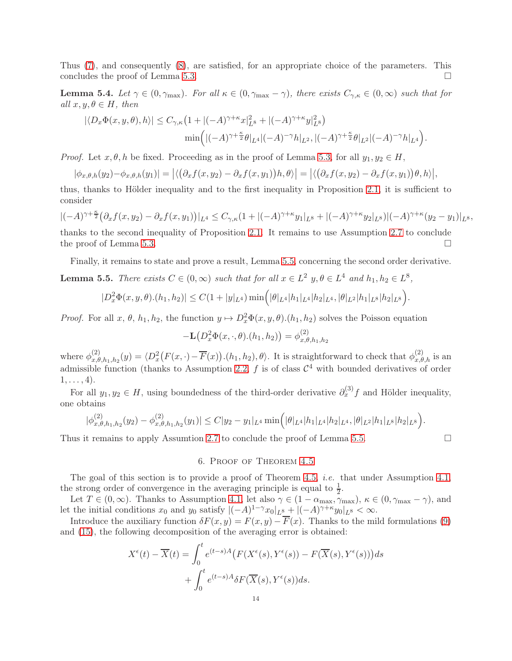Thus [\(7\)](#page-6-3), and consequently [\(8\)](#page-6-1), are satisfied, for an appropriate choice of the parameters. This concludes the proof of Lemma [5.3.](#page-12-1)  $\Box$ 

<span id="page-13-2"></span>**Lemma 5.4.** Let  $\gamma \in (0, \gamma_{\text{max}})$ . For all  $\kappa \in (0, \gamma_{\text{max}} - \gamma)$ , there exists  $C_{\gamma,\kappa} \in (0,\infty)$  such that for all  $x, y, \theta \in H$ , then

$$
|\langle D_x \Phi(x, y, \theta), h \rangle| \leq C_{\gamma, \kappa} \left(1 + |(-A)^{\gamma + \kappa} x|_{L^8}^2 + |(-A)^{\gamma + \kappa} y|_{L^8}^2\right)
$$
  

$$
\min\left(|(-A)^{\gamma + \frac{\kappa}{2}} \theta|_{L^4}|(-A)^{-\gamma} h|_{L^2}, |(-A)^{\gamma + \frac{\kappa}{2}} \theta|_{L^2}|(-A)^{-\gamma} h|_{L^4}\right).
$$

*Proof.* Let  $x, \theta, h$  be fixed. Proceeding as in the proof of Lemma [5.3,](#page-12-1) for all  $y_1, y_2 \in H$ ,

$$
|\phi_{x,\theta,h}(y_2)-\phi_{x,\theta,h}(y_1)|=|\langle (\partial_x f(x,y_2)-\partial_x f(x,y_1))h,\theta\rangle|=|\langle (\partial_x f(x,y_2)-\partial_x f(x,y_1))\theta,h\rangle|,
$$

thus, thanks to Hölder inequality and to the first inequality in Proposition [2.1,](#page-4-2) it is sufficient to consider

 $|(-A)^{\gamma+\frac{\kappa}{2}}(\partial_x f(x,y_2) - \partial_x f(x,y_1))|_{L^4} \leq C_{\gamma,\kappa}(1+|(-A)^{\gamma+\kappa}y_1|_{L^8} + |(-A)^{\gamma+\kappa}y_2|_{L^8})|(-A)^{\gamma+\kappa}(y_2-y_1)|_{L^8},$ thanks to the second inequality of Proposition [2.1.](#page-4-2) It remains to use Assumption [2.7](#page-6-4) to conclude the proof of Lemma [5.3.](#page-12-1)

Finally, it remains to state and prove a result, Lemma [5.5,](#page-13-1) concerning the second order derivative.

<span id="page-13-1"></span>**Lemma 5.5.** There exists  $C \in (0, \infty)$  such that for all  $x \in L^2$   $y, \theta \in L^4$  and  $h_1, h_2 \in L^8$ ,

$$
|D_x^2 \Phi(x, y, \theta) \cdot (h_1, h_2)| \le C(1 + |y|_{L^4}) \min\Big(|\theta|_{L^4} |h_1|_{L^4} |h_2|_{L^4}, |\theta|_{L^2} |h_1|_{L^8} |h_2|_{L^8}\Big).
$$

*Proof.* For all  $x, \theta, h_1, h_2$ , the function  $y \mapsto D_x^2 \Phi(x, y, \theta)$ . $(h_1, h_2)$  solves the Poisson equation

$$
-\mathbf{L}(D_x^2\Phi(x,\cdot,\theta).(h_1,h_2)) = \phi_{x,\theta,h_1,h_2}^{(2)}
$$

where  $\phi_{x,\theta}^{(2)}$  $x_{x,\theta,h_1,h_2}(y) = \langle D_x^2(F(x,\cdot)-\overline{F}(x)), (h_1,h_2), \theta \rangle$ . It is straightforward to check that  $\phi_{x,\theta,h}^{(2)}$  is an admissible function (thanks to Assumption [2.2,](#page-4-1)  $f$  is of class  $\mathcal{C}^4$  with bounded derivatives of order  $1, \ldots, 4$ .

For all  $y_1, y_2 \in H$ , using boundedness of the third-order derivative  $\partial_x^{(3)} f$  and Hölder inequality, one obtains

$$
|\phi_{x,\theta,h_1,h_2}^{(2)}(y_2) - \phi_{x,\theta,h_1,h_2}^{(2)}(y_1)| \le C|y_2 - y_1|_{L^4} \min\Big(|\theta|_{L^4}|h_1|_{L^4}|h_2|_{L^4}, |\theta|_{L^2}|h_1|_{L^8}|h_2|_{L^8}\Big).
$$

<span id="page-13-0"></span>Thus it remains to apply Assumtion [2.7](#page-6-4) to conclude the proof of Lemma [5.5.](#page-13-1)  $\Box$ 

## 6. Proof of Theorem [4.5](#page-10-0)

The goal of this section is to provide a proof of Theorem [4.5,](#page-10-0) *i.e.* that under Assumption [4.1,](#page-9-1) the strong order of convergence in the averaging principle is equal to  $\frac{1}{2}$ .

Let  $T \in (0,\infty)$ . Thanks to Assumption [4.1,](#page-9-1) let also  $\gamma \in (1 - \alpha_{\text{max}}, \gamma_{\text{max}})$ ,  $\kappa \in (0, \gamma_{\text{max}} - \gamma)$ , and let the initial conditions  $x_0$  and  $y_0$  satisfy  $|(-A)^{1-\gamma}x_0|_{L^8} + |(-A)^{\gamma+\kappa}y_0|_{L^8} < \infty$ .

Introduce the auxiliary function  $\delta F(x, y) = F(x, y) - \overline{F}(x)$ . Thanks to the mild formulations [\(9\)](#page-7-2) and [\(15\)](#page-8-5), the following decomposition of the averaging error is obtained:

$$
X^{\epsilon}(t) - \overline{X}(t) = \int_0^t e^{(t-s)A} \left( F(X^{\epsilon}(s), Y^{\epsilon}(s)) - F(\overline{X}(s), Y^{\epsilon}(s)) \right) ds
$$

$$
+ \int_0^t e^{(t-s)A} \delta F(\overline{X}(s), Y^{\epsilon}(s)) ds.
$$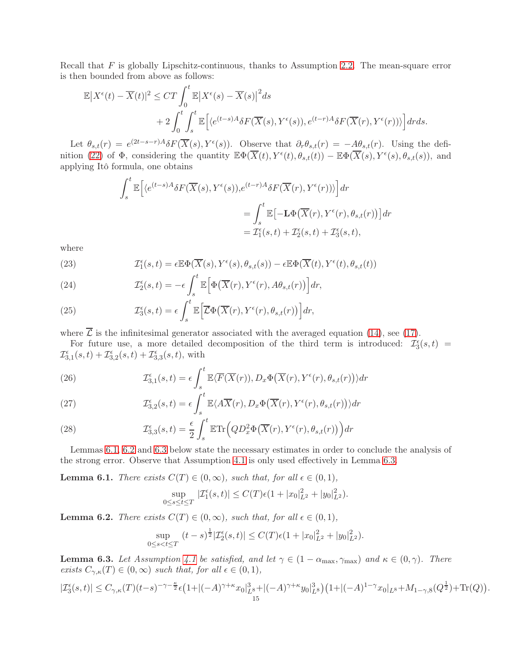Recall that  $F$  is globally Lipschitz-continuous, thanks to Assumption [2.2.](#page-4-1) The mean-square error is then bounded from above as follows:

$$
\mathbb{E}|X^{\epsilon}(t) - \overline{X}(t)|^{2} \le CT \int_{0}^{t} \mathbb{E}|X^{\epsilon}(s) - \overline{X}(s)|^{2} ds + 2 \int_{0}^{t} \int_{s}^{t} \mathbb{E}[\langle e^{(t-s)A} \delta F(\overline{X}(s), Y^{\epsilon}(s)), e^{(t-r)A} \delta F(\overline{X}(r), Y^{\epsilon}(r))\rangle] dr ds.
$$

Let  $\theta_{s,t}(r) = e^{(2t-s-r)A} \delta F(\overline{X}(s), Y^{\epsilon}(s))$ . Observe that  $\partial_r \theta_{s,t}(r) = -\underline{A} \theta_{s,t}(r)$ . Using the defi-nition [\(22\)](#page-11-3) of  $\Phi$ , considering the quantity  $\mathbb{E}\Phi(\overline{X}(t), Y^{\epsilon}(t), \theta_{s,t}(t)) - \mathbb{E}\Phi(\overline{X}(s), Y^{\epsilon}(s), \theta_{s,t}(s))$ , and applying Itô formula, one obtains

$$
\int_{s}^{t} \mathbb{E} \Big[ \langle e^{(t-s)A} \delta F(\overline{X}(s), Y^{\epsilon}(s)), e^{(t-r)A} \delta F(\overline{X}(r), Y^{\epsilon}(r)) \rangle \Big] dr
$$
  

$$
= \int_{s}^{t} \mathbb{E} \Big[ -\mathbf{L} \Phi \big( \overline{X}(r), Y^{\epsilon}(r), \theta_{s,t}(r) \big) \Big] dr
$$
  

$$
= \mathcal{I}_{1}^{\epsilon}(s,t) + \mathcal{I}_{2}^{\epsilon}(s,t) + \mathcal{I}_{3}^{\epsilon}(s,t),
$$

where

(23) 
$$
\mathcal{I}_1^{\epsilon}(s,t) = \epsilon \mathbb{E} \Phi(\overline{X}(s), Y^{\epsilon}(s), \theta_{s,t}(s)) - \epsilon \mathbb{E} \Phi(\overline{X}(t), Y^{\epsilon}(t), \theta_{s,t}(t))
$$

(24) 
$$
\mathcal{I}_2^{\epsilon}(s,t) = -\epsilon \int_s^t \mathbb{E}\Big[\Phi\big(\overline{X}(r), Y^{\epsilon}(r), A\theta_{s,t}(r)\big)\Big] dr,
$$

(25) 
$$
\mathcal{I}_3^{\epsilon}(s,t) = \epsilon \int_s^t \mathbb{E}\Big[\overline{\mathcal{L}}\Phi\big(\overline{X}(r), Y^{\epsilon}(r), \theta_{s,t}(r)\big)\Big] dr,
$$

where  $\overline{\mathcal{L}}$  is the infinitesimal generator associated with the averaged equation [\(14\)](#page-8-2), see [\(17\)](#page-9-3).

For future use, a more detailed decomposition of the third term is introduced:  $\mathcal{I}_3^{\epsilon}(s,t)$  =  $\mathcal{I}_{3,1}^{\epsilon}(s,t) + \mathcal{I}_{3,2}^{\epsilon}(s,t) + \mathcal{I}_{3,3}^{\epsilon}(s,t)$ , with

(26) 
$$
\mathcal{I}_{3,1}^{\epsilon}(s,t) = \epsilon \int_s^t \mathbb{E}\langle \overline{F}(\overline{X}(r)), D_x \Phi(\overline{X}(r), Y^{\epsilon}(r), \theta_{s,t}(r)) \rangle dr
$$

(27) 
$$
\mathcal{I}_{3,2}^{\epsilon}(s,t) = \epsilon \int_s^t \mathbb{E} \langle A\overline{X}(r), D_x \Phi(\overline{X}(r), Y^{\epsilon}(r), \theta_{s,t}(r)) \rangle dr
$$

(28) 
$$
\mathcal{I}_{3,3}^{\epsilon}(s,t) = \frac{\epsilon}{2} \int_{s}^{t} \mathbb{E} \text{Tr}\Big(QD_x^2 \Phi\big(\overline{X}(r), Y^{\epsilon}(r), \theta_{s,t}(r)\big)\Big) dr
$$

Lemmas [6.1,](#page-14-0) [6.2](#page-14-1) and [6.3](#page-14-2) below state the necessary estimates in order to conclude the analysis of the strong error. Observe that Assumption [4.1](#page-9-1) is only used effectively in Lemma [6.3.](#page-14-2)

<span id="page-14-0"></span>**Lemma 6.1.** There exists  $C(T) \in (0, \infty)$ , such that, for all  $\epsilon \in (0, 1)$ ,

$$
\sup_{0 \le s \le t \le T} |\mathcal{I}_1^{\epsilon}(s,t)| \le C(T)\epsilon (1+|x_0|^2_{L^2}+|y_0|^2_{L^2}).
$$

<span id="page-14-1"></span>**Lemma 6.2.** There exists  $C(T) \in (0, \infty)$ , such that, for all  $\epsilon \in (0, 1)$ ,

$$
\sup_{0 \le s < t \le T} (t - s)^{\frac{1}{2}} |\mathcal{I}_2^{\epsilon}(s, t)| \le C(T) \epsilon (1 + |x_0|_{L^2}^2 + |y_0|_{L^2}^2).
$$

<span id="page-14-2"></span>**Lemma 6.3.** Let Assumption [4.1](#page-9-1) be satisfied, and let  $\gamma \in (1 - \alpha_{\text{max}}, \gamma_{\text{max}})$  and  $\kappa \in (0, \gamma)$ . There exists  $C_{\gamma,\kappa}(T) \in (0,\infty)$  such that, for all  $\epsilon \in (0,1)$ ,

$$
|\mathcal{I}_3^\epsilon(s,t)| \leq C_{\gamma,\kappa}(T) (t-s)^{-\gamma-\frac{\kappa}{2}} \epsilon \big(1+|(-A)^{\gamma+\kappa}x_0|_{L^8}^3+|(-A)^{\gamma+\kappa}y_0|_{L^8}^3\big) \big(1+|(-A)^{1-\gamma}x_0|_{L^8}+M_{1-\gamma,8}(Q^\frac{1}{2})+\text{Tr}(Q)\big).
$$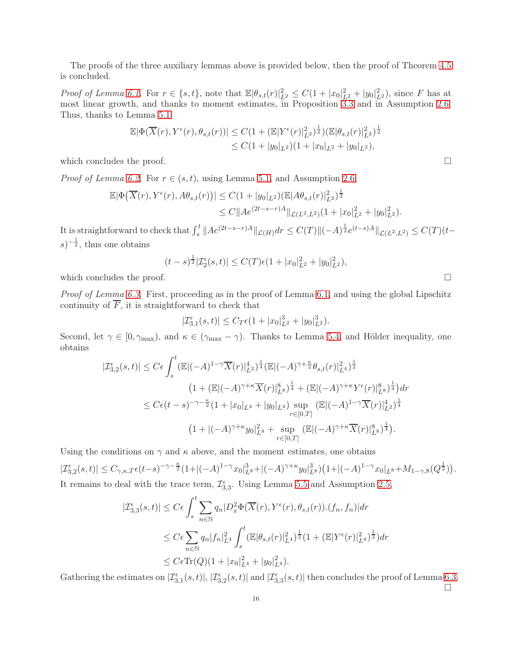The proofs of the three auxiliary lemmas above is provided below, then the proof of Theorem [4.5](#page-10-0) is concluded.

Proof of Lemma [6.1.](#page-14-0) For  $r \in \{s, t\}$ , note that  $\mathbb{E}|\theta_{s,t}(r)|_{L^2}^2 \leq C(1+|x_0|_{L^2}^2+|y_0|_{L^2}^2)$ , since F has at most linear growth, and thanks to moment estimates, in Proposition [3.3](#page-8-6) and in Assumption [2.6.](#page-5-1) Thus, thanks to Lemma [5.1.](#page-12-0)

$$
\mathbb{E}|\Phi(\overline{X}(r), Y^{\epsilon}(r), \theta_{s,t}(r))| \leq C(1 + (\mathbb{E}|Y^{\epsilon}(r)|_{L^{2}}^{2})^{\frac{1}{2}})(\mathbb{E}|\theta_{s,t}(r)|_{L^{2}}^{2})^{\frac{1}{2}} \leq C(1+|y_{0}|_{L^{2}})(1+|x_{0}|_{L^{2}}+|y_{0}|_{L^{2}}),
$$

which concludes the proof.

*Proof of Lemma [6.2.](#page-14-1)* For  $r \in (s, t)$ , using Lemma [5.1,](#page-12-0) and Assumption [2.6,](#page-5-1)

$$
\mathbb{E}|\Phi(\overline{X}(r), Y^{\epsilon}(r), A\theta_{s,t}(r))| \leq C(1+|y_0|_{L^2})(\mathbb{E}|A\theta_{s,t}(r)|_{L^2}^2)^{\frac{1}{2}} \leq C\|Ae^{(2t-s-r)A}\|_{\mathcal{L}(L^2, L^2)}(1+|x_0|_{L^2}^2+|y_0|_{L^2}^2).
$$

It is straightforward to check that  $\int_s^t \| A e^{(2t-s-r)A} \|_{\mathcal{L}(H)} dr \leq C(T) \| (-A)^{\frac{1}{2}} e^{(t-s)A} \|_{\mathcal{L}(L^2, L^2)} \leq C(T) (t-s)$  $(s)^{-\frac{1}{2}}$ , thus one obtains

$$
(t-s)^{\frac{1}{2}}|\mathcal{I}_2^{\epsilon}(s,t)| \le C(T)\epsilon (1+|x_0|_{L^2}^2+|y_0|_{L^2}^2),
$$

which concludes the proof.

Proof of Lemma [6.3.](#page-14-2) First, proceeding as in the proof of Lemma [6.1,](#page-14-0) and using the global Lipschitz continuity of  $\overline{F}$ , it is straightforward to check that

$$
|\mathcal{I}_{3,1}^{\epsilon}(s,t)| \leq C_T \epsilon (1+|x_0|^3_{L^2}+|y_0|^3_{L^2}).
$$

Second, let  $\gamma \in [0, \gamma_{\text{max}})$ , and  $\kappa \in (\gamma_{\text{max}} - \gamma)$ . Thanks to Lemma [5.4,](#page-13-2) and Hölder inequality, one obtains

$$
|\mathcal{I}_{3,2}^{\epsilon}(s,t)| \leq C\epsilon \int_{s}^{t} (\mathbb{E}|(-A)^{1-\gamma}\overline{X}(r)|_{L^{2}}^{4})^{\frac{1}{4}} (\mathbb{E}|(-A)^{\gamma+\frac{\kappa}{2}}\theta_{s,t}(r)|_{L^{4}}^{2})^{\frac{1}{2}}
$$
  

$$
(1+(\mathbb{E}|(-A)^{\gamma+\kappa}\overline{X}(r)|_{L^{8}}^{8})^{\frac{1}{4}}+(\mathbb{E}|(-A)^{\gamma+\kappa}Y^{\epsilon}(r)|_{L^{8}}^{8})^{\frac{1}{4}})dr
$$
  

$$
\leq C\epsilon(t-s)^{-\gamma-\frac{\kappa}{2}}(1+|x_{0}|_{L^{4}}+|y_{0}|_{L^{4}})\sup_{r\in[0,T]} (\mathbb{E}|(-A)^{1-\gamma}\overline{X}(r)|_{L^{2}}^{4})^{\frac{1}{4}}
$$
  

$$
(1+|(-A)^{\gamma+\kappa}y_{0}|_{L^{8}}^{2}+\sup_{r\in[0,T]} (\mathbb{E}|(-A)^{\gamma+\kappa}\overline{X}(r)|_{L^{8}}^{8})^{\frac{1}{4}}).
$$

Using the conditions on  $\gamma$  and  $\kappa$  above, and the moment estimates, one obtains

 $|\mathcal{I}^{\epsilon}_{3,2}(s,t)|\leq C_{\gamma,\kappa,T}\epsilon (t-s)^{-\gamma-\frac{\kappa}{2}}(1+|(-A)^{1-\gamma}x_0|_{L^8}^3+|(-A)^{\gamma+\kappa}y_0|_{L^8}^3)\left(1+|(-A)^{1-\gamma}x_0|_{L^8}+M_{1-\gamma,8}(Q^{\frac{1}{2}})\right).$ It remains to deal with the trace term,  $\mathcal{I}_{3,3}^{\epsilon}$ . Using Lemma [5.5](#page-13-1) and Assumption [2.5,](#page-5-0)

$$
|\mathcal{I}_{3,3}^{\epsilon}(s,t)| \le C\epsilon \int_{s}^{t} \sum_{n\in\mathbb{N}} q_{n} |D_{x}^{2} \Phi(\overline{X}(r), Y^{\epsilon}(r), \theta_{s,t}(r)).(f_{n}, f_{n})| dr
$$
  

$$
\le C\epsilon \sum_{n\in\mathbb{N}} q_{n} |f_{n}|_{L^{4}}^{2} \int_{s}^{t} (\mathbb{E}|\theta_{s,t}(r)|_{L^{4}}^{2})^{\frac{1}{2}} (1 + (\mathbb{E}|Y^{\epsilon}(r)|_{L^{4}}^{2})^{\frac{1}{2}}) dr
$$
  

$$
\le C\epsilon \text{Tr}(Q)(1 + |x_{0}|_{L^{4}}^{2} + |y_{0}|_{L^{4}}^{2}).
$$

Gathering the estimates on  $|\mathcal{I}_{3,1}^{\epsilon}(s,t)|, |\mathcal{I}_{3,2}^{\epsilon}(s,t)|$  and  $|\mathcal{I}_{3,3}^{\epsilon}(s,t)|$  then concludes the proof of Lemma [6.3.](#page-14-2)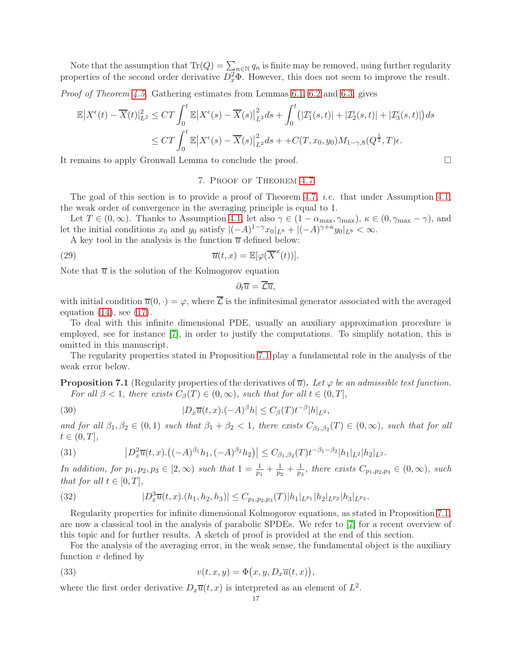Note that the assumption that  $\text{Tr}(Q) = \sum_{n \in \mathbb{N}} q_n$  is finite may be removed, using further regularity properties of the second order derivative  $D_x^2\Phi$ . However, this does not seem to improve the result.

*Proof of Theorem [4.5.](#page-10-0)* Gathering estimates from Lemmas [6.1,](#page-14-0) [6.2](#page-14-1) and [6.3,](#page-14-2) gives

$$
\mathbb{E}|X^{\epsilon}(t) - \overline{X}(t)|_{L^{2}}^{2} \le CT \int_{0}^{t} \mathbb{E}|X^{\epsilon}(s) - \overline{X}(s)|_{L^{2}}^{2} ds + \int_{0}^{t} (|\mathcal{I}_{1}^{\epsilon}(s,t)| + |\mathcal{I}_{2}^{\epsilon}(s,t)| + |\mathcal{I}_{3}^{\epsilon}(s,t)|) ds
$$
  

$$
\le CT \int_{0}^{t} \mathbb{E}|X^{\epsilon}(s) - \overline{X}(s)|_{L^{2}}^{2} ds + C(T, x_{0}, y_{0})M_{1-\gamma,8}(Q^{\frac{1}{2}}, T)\epsilon.
$$

<span id="page-16-0"></span>It remains to apply Gronwall Lemma to conclude the proof.

7. Proof of Theorem [4.7](#page-10-1)

The goal of this section is to provide a proof of Theorem [4.7,](#page-10-1) *i.e.* that under Assumption [4.1,](#page-9-1) the weak order of convergence in the averaging principle is equal to 1.

Let  $T \in (0,\infty)$ . Thanks to Assumption [4.1,](#page-9-1) let also  $\gamma \in (1 - \alpha_{\max}, \gamma_{\max})$ ,  $\kappa \in (0, \gamma_{\max} - \gamma)$ , and let the initial conditions  $x_0$  and  $y_0$  satisfy  $|(-A)^{1-\gamma}x_0|_{L^8} + |(-A)^{\gamma+\kappa}y_0|_{L^8} < \infty$ .

A key tool in the analysis is the function  $\overline{u}$  defined below:

(29) 
$$
\overline{u}(t,x) = \mathbb{E}[\varphi(\overline{X}^x(t))].
$$

Note that  $\overline{u}$  is the solution of the Kolmogorov equation

<span id="page-16-5"></span>
$$
\partial_t \overline{u} = \overline{\mathcal{L}u},
$$

with initial condition  $\overline{u}(0, \cdot) = \varphi$ , where  $\overline{\mathcal{L}}$  is the infinitesimal generator associated with the averaged equation  $(14)$ , see  $(17)$ .

To deal with this infinite dimensional PDE, usually an auxiliary approximation procedure is employed, see for instance [\[7\]](#page-30-18), in order to justify the computations. To simplify notation, this is omitted in this manuscript.

The regularity properties stated in Proposition [7.1](#page-16-1) play a fundamental role in the analysis of the weak error below.

<span id="page-16-1"></span>**Proposition 7.1** (Regularity properties of the derivatives of  $\overline{u}$ ). Let  $\varphi$  be an admissible test function. For all  $\beta < 1$ , there exists  $C_{\beta}(T) \in (0, \infty)$ , such that for all  $t \in (0, T]$ ,

<span id="page-16-2"></span>(30) 
$$
|D_x\overline{u}(t,x) \cdot (-A)^\beta h| \leq C_\beta(T) t^{-\beta} |h|_{L^2},
$$

and for all  $\beta_1, \beta_2 \in (0,1)$  such that  $\beta_1 + \beta_2 < 1$ , there exists  $C_{\beta_1, \beta_2}(T) \in (0,\infty)$ , such that for all  $t \in (0,T],$ 

<span id="page-16-3"></span>(31) 
$$
\left|D_x^2 \overline{u}(t,x).\left((-A)^{\beta_1}h_1, (-A)^{\beta_2}h_2\right)\right| \leq C_{\beta_1,\beta_2}(T)t^{-\beta_1-\beta_2}|h_1|_{L^2}|h_2|_{L^2}.
$$

In addition, for  $p_1, p_2, p_3 \in [2, \infty)$  such that  $1 = \frac{1}{p_1} + \frac{1}{p_2}$  $\frac{1}{p_2} + \frac{1}{p_3}$  $\frac{1}{p_3}$ , there exists  $C_{p_1,p_2,p_3} \in (0,\infty)$ , such that for all  $t \in [0, T]$ ,

<span id="page-16-4"></span>(32) 
$$
|D_x^3 \overline{u}(t,x) \cdot (h_1,h_2,h_3)| \leq C_{p_1,p_2,p_3}(T) |h_1|_{L^{p_1}} |h_2|_{L^{p_2}} |h_3|_{L^{p_3}}.
$$

Regularity properties for infinite dimensional Kolmogorov equations, as stated in Proposition [7.1,](#page-16-1) are now a classical tool in the analysis of parabolic SPDEs. We refer to [\[7\]](#page-30-18) for a recent overview of this topic and for further results. A sketch of proof is provided at the end of this section.

For the analysis of the averaging error, in the weak sense, the fundamental object is the auxiliary function  $v$  defined by

(33) 
$$
v(t, x, y) = \Phi(x, y, D_x \overline{u}(t, x)),
$$

where the first order derivative  $D_x\overline{u}(t,x)$  is interpreted as an element of  $L^2$ .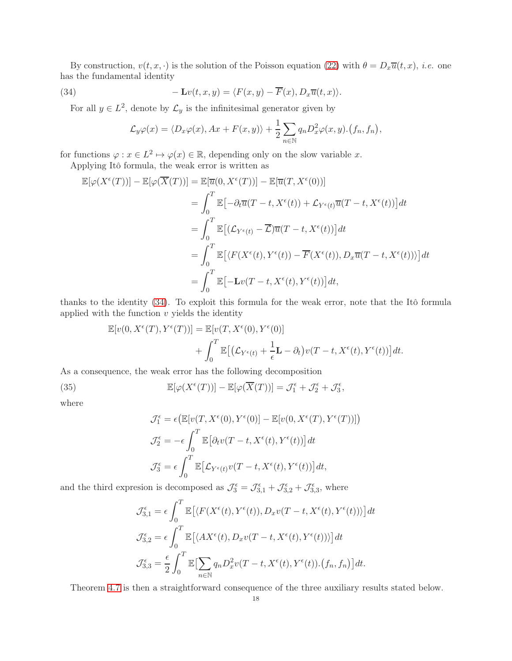By construction,  $v(t, x, \cdot)$  is the solution of the Poisson equation [\(22\)](#page-11-3) with  $\theta = D_x \overline{u}(t, x)$ , *i.e.* one has the fundamental identity

(34) 
$$
-\mathbf{L}v(t,x,y) = \langle F(x,y) - \overline{F}(x), D_x\overline{u}(t,x) \rangle.
$$

For all  $y \in L^2$ , denote by  $\mathcal{L}_y$  is the infinitesimal generator given by

<span id="page-17-0"></span>
$$
\mathcal{L}_y\varphi(x) = \langle D_x\varphi(x), Ax + F(x, y) \rangle + \frac{1}{2} \sum_{n \in \mathbb{N}} q_n D_x^2 \varphi(x, y) \cdot (f_n, f_n),
$$

for functions  $\varphi: x \in L^2 \mapsto \varphi(x) \in \mathbb{R}$ , depending only on the slow variable x.

Applying Itô formula, the weak error is written as

$$
\mathbb{E}[\varphi(X^{\epsilon}(T))] - \mathbb{E}[\varphi(\overline{X}(T))] = \mathbb{E}[\overline{u}(0, X^{\epsilon}(T))] - \mathbb{E}[\overline{u}(T, X^{\epsilon}(0))]
$$
\n
$$
= \int_{0}^{T} \mathbb{E}\left[-\partial_{t}\overline{u}(T-t, X^{\epsilon}(t)) + \mathcal{L}_{Y^{\epsilon}(t)}\overline{u}(T-t, X^{\epsilon}(t))\right]dt
$$
\n
$$
= \int_{0}^{T} \mathbb{E}\left[(\mathcal{L}_{Y^{\epsilon}(t)} - \overline{\mathcal{L}})\overline{u}(T-t, X^{\epsilon}(t))\right]dt
$$
\n
$$
= \int_{0}^{T} \mathbb{E}\left[\langle F(X^{\epsilon}(t), Y^{\epsilon}(t)) - \overline{F}(X^{\epsilon}(t)), D_{x}\overline{u}(T-t, X^{\epsilon}(t))\rangle\right]dt
$$
\n
$$
= \int_{0}^{T} \mathbb{E}\left[-\mathbf{L}v(T-t, X^{\epsilon}(t), Y^{\epsilon}(t))\right]dt,
$$

thanks to the identity [\(34\)](#page-17-0). To exploit this formula for the weak error, note that the Itô formula applied with the function  $v$  yields the identity

$$
\mathbb{E}[v(0, X^{\epsilon}(T), Y^{\epsilon}(T))] = \mathbb{E}[v(T, X^{\epsilon}(0), Y^{\epsilon}(0)] + \int_{0}^{T} \mathbb{E}[(\mathcal{L}_{Y^{\epsilon}(t)} + \frac{1}{\epsilon} \mathbf{L} - \partial_{t})v(T - t, X^{\epsilon}(t), Y^{\epsilon}(t))]dt.
$$

As a consequence, the weak error has the following decomposition

(35) 
$$
\mathbb{E}[\varphi(X^{\epsilon}(T))] - \mathbb{E}[\varphi(\overline{X}(T))] = \mathcal{J}_{1}^{\epsilon} + \mathcal{J}_{2}^{\epsilon} + \mathcal{J}_{3}^{\epsilon},
$$

where

<span id="page-17-1"></span>
$$
\mathcal{J}_1^{\epsilon} = \epsilon \big(\mathbb{E}[v(T, X^{\epsilon}(0), Y^{\epsilon}(0)] - \mathbb{E}[v(0, X^{\epsilon}(T), Y^{\epsilon}(T))]\big)
$$
  

$$
\mathcal{J}_2^{\epsilon} = -\epsilon \int_0^T \mathbb{E}\big[\partial_t v(T - t, X^{\epsilon}(t), Y^{\epsilon}(t))\big] dt
$$
  

$$
\mathcal{J}_3^{\epsilon} = \epsilon \int_0^T \mathbb{E}\big[\mathcal{L}_{Y^{\epsilon}(t)}v(T - t, X^{\epsilon}(t), Y^{\epsilon}(t))\big] dt,
$$

and the third expresion is decomposed as  $\mathcal{J}_3^{\epsilon} = \mathcal{J}_{3,1}^{\epsilon} + \mathcal{J}_{3,2}^{\epsilon} + \mathcal{J}_{3,3}^{\epsilon}$ , where

$$
\mathcal{J}_{3,1}^{\epsilon} = \epsilon \int_0^T \mathbb{E} \left[ \langle F(X^{\epsilon}(t), Y^{\epsilon}(t)), D_x v(T - t, X^{\epsilon}(t), Y^{\epsilon}(t)) \rangle \right] dt
$$
  

$$
\mathcal{J}_{3,2}^{\epsilon} = \epsilon \int_0^T \mathbb{E} \left[ \langle AX^{\epsilon}(t), D_x v(T - t, X^{\epsilon}(t), Y^{\epsilon}(t)) \rangle \right] dt
$$
  

$$
\mathcal{J}_{3,3}^{\epsilon} = \frac{\epsilon}{2} \int_0^T \mathbb{E} \left[ \sum_{n \in \mathbb{N}} q_n D_x^2 v(T - t, X^{\epsilon}(t), Y^{\epsilon}(t)).(f_n, f_n) \right] dt.
$$

Theorem [4.7](#page-10-1) is then a straightforward consequence of the three auxiliary results stated below.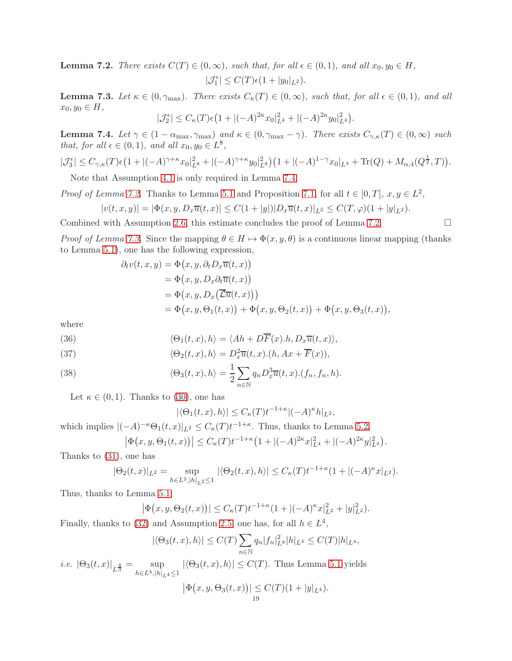<span id="page-18-1"></span>**Lemma 7.2.** There exists  $C(T) \in (0,\infty)$ , such that, for all  $\epsilon \in (0,1)$ , and all  $x_0, y_0 \in H$ ,  $|\mathcal{J}_1^{\epsilon}| \leq C(T)\epsilon(1+|y_0|_{L^2}).$ 

<span id="page-18-2"></span>**Lemma 7.3.** Let  $\kappa \in (0, \gamma_{\text{max}})$ . There exists  $C_{\kappa}(T) \in (0, \infty)$ , such that, for all  $\epsilon \in (0, 1)$ , and all  $x_0, y_0 \in H$ ,

$$
|\mathcal{J}_2^{\epsilon}| \le C_{\kappa}(T)\epsilon \big(1+|(-A)^{2\kappa}x_0|_{L^4}^2+|(-A)^{2\kappa}y_0|_{L^4}^2\big).
$$

<span id="page-18-0"></span>**Lemma 7.4.** Let  $\gamma \in (1 - \alpha_{\text{max}}, \gamma_{\text{max}})$  and  $\kappa \in (0, \gamma_{\text{max}} - \gamma)$ . There exists  $C_{\gamma,\kappa}(T) \in (0,\infty)$  such that, for all  $\epsilon \in (0,1)$ , and all  $x_0, y_0 \in L^8$ ,

$$
|\mathcal{J}_3^{\epsilon}| \leq C_{\gamma,\kappa}(T)\epsilon \left(1+|(-A)^{\gamma+\kappa}x_0|_{L^8}^2+|(-A)^{\gamma+\kappa}y_0|_{L^8}^2\right)\left(1+|(-A)^{1-\gamma}x_0|_{L^4}+\text{Tr}(Q)+M_{\alpha,4}(Q^{\frac{1}{2}},T)\right).
$$

Note that Assumption [4.1](#page-9-1) is only required in Lemma [7.4.](#page-18-0)

*Proof of Lemma [7.2.](#page-18-1)* Thanks to Lemma [5.1](#page-12-0) and Proposition [7.1,](#page-16-1) for all  $t \in [0, T]$ ,  $x, y \in L^2$ ,

$$
|v(t, x, y)| = |\Phi(x, y, D_x \overline{u}(t, x)| \le C(1 + |y|)|D_x \overline{u}(t, x)|_{L^2} \le C(T, \varphi)(1 + |y|_{L^2}).
$$

Combined with Assumption [2.6,](#page-5-1) this estimate concludes the proof of Lemma [7.2.](#page-18-1)  $\Box$ 

*Proof of Lemma [7.3.](#page-18-2)* Since the mapping  $\theta \in H \mapsto \Phi(x, y, \theta)$  is a continuous linear mapping (thanks to Lemma [5.1\)](#page-12-0), one has the following expression,

$$
\partial_t v(t, x, y) = \Phi(x, y, \partial_t D_x \overline{u}(t, x))
$$
  
=  $\Phi(x, y, D_x \partial_t \overline{u}(t, x))$   
=  $\Phi(x, y, D_x (\overline{\mathcal{L}u}(t, x)))$   
=  $\Phi(x, y, \Theta_1(t, x)) + \Phi(x, y, \Theta_2(t, x)) + \Phi(x, y, \Theta_3(t, x)),$ 

where

(36) 
$$
\langle \Theta_1(t,x),h\rangle = \langle Ah + D\overline{F}(x).h, D_x\overline{u}(t,x)\rangle,
$$

(37) 
$$
\langle \Theta_2(t,x),h\rangle = D_x^2 \overline{u}(t,x) . (h, Ax + \overline{F}(x)),
$$

(38) 
$$
\langle \Theta_3(t,x),h\rangle = \frac{1}{2} \sum_{n\in\mathbb{N}} q_n D_x^3 \overline{u}(t,x) . (f_n, f_n, h).
$$

Let  $\kappa \in (0,1)$ . Thanks to [\(30\)](#page-16-2), one has

$$
|\langle \Theta_1(t,x),h\rangle| \leq C_{\kappa}(T)t^{-1+\kappa}|(-A)^{\kappa}h|_{L^2},
$$

which implies  $|(-A)^{-\kappa} \Theta_1(t,x)|_{L^2} \leq C_{\kappa}(T) t^{-1+\kappa}$ . Thus, thanks to Lemma [5.2,](#page-12-2)

$$
\left|\Phi\big(x,y,\Theta_1(t,x)\big)\right| \le C_\kappa(T)t^{-1+\kappa}\big(1+|(-A)^{2\kappa}x|_{L^4}^2+|(-A)^{2\kappa}y|_{L^4}^2\big).
$$

Thanks to [\(31\)](#page-16-3), one has

$$
|\Theta_2(t,x)|_{L^2} = \sup_{h \in L^2, |h|_{L^2} \le 1} |\langle \Theta_2(t,x), h \rangle| \le C_{\kappa}(T) t^{-1+\kappa} (1 + |(-A)^{\kappa} x|_{L^2}).
$$

Thus, thanks to Lemma [5.1,](#page-12-0)

$$
|\Phi(x, y, \Theta_2(t, x))| \le C_{\kappa}(T)t^{-1+\kappa}(1 + |(-A)^{\kappa}x|_{L^2}^2 + |y|_{L^2}^2).
$$

Finally, thanks to [\(32\)](#page-16-4) and Assumption [2.5,](#page-5-0) one has, for all  $h \in L^4$ ,

$$
|\langle \Theta_3(t, x), h \rangle| \le C(T) \sum_{n \in \mathbb{N}} q_n |f_n|_{L^8}^2 |h|_{L^4} \le C(T) |h|_{L^4},
$$

*i.e.*  $|\Theta_3(t,x)|_{L^{\frac{4}{3}}} = \sup_{b \in I^4 \setminus [b]}$  $h \in L^4, |h|_{L^4} \leq 1$  $|\langle \Theta_3(t, x), h \rangle| \leq C(T)$ . Thus Lemma [5.1](#page-12-0) yields

$$
|\Phi(x, y, \Theta_3(t, x))| \le C(T)(1 + |y|_{L^4}).
$$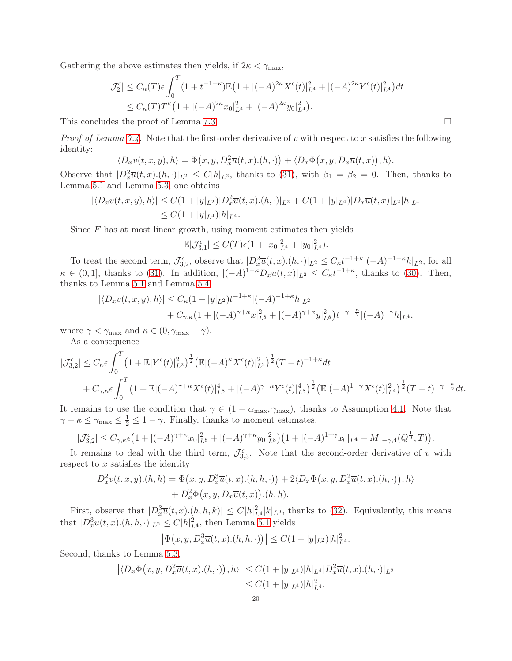Gathering the above estimates then yields, if  $2\kappa < \gamma_{\text{max}}$ ,

$$
|\mathcal{J}_2^{\epsilon}| \le C_{\kappa}(T)\epsilon \int_0^T (1+t^{-1+\kappa}) \mathbb{E} (1+|(-A)^{2\kappa} X^{\epsilon}(t)|_{L^4}^2 + |(-A)^{2\kappa} Y^{\epsilon}(t)|_{L^4}^2) dt
$$
  
 
$$
\le C_{\kappa}(T) T^{\kappa} (1+|(-A)^{2\kappa} x_0|_{L^4}^2 + |(-A)^{2\kappa} y_0|_{L^4}^2).
$$

This concludes the proof of Lemma [7.3.](#page-18-2)

*Proof of Lemma [7.4.](#page-18-0)* Note that the first-order derivative of v with respect to x satisfies the following identity:

$$
\langle D_x v(t,x,y),h\rangle = \Phi(x,y,D_x^2\overline{u}(t,x).(h,\cdot)) + \langle D_x \Phi(x,y,D_x\overline{u}(t,x)),h\rangle.
$$

Observe that  $|D_x^2\overline{u}(t,x) \cdot (h, \cdot)|_{L^2} \leq C|h|_{L^2}$ , thanks to [\(31\)](#page-16-3), with  $\beta_1 = \beta_2 = 0$ . Then, thanks to Lemma [5.1](#page-12-0) and Lemma [5.3,](#page-12-1) one obtains

$$
|\langle D_x v(t, x, y), h \rangle| \le C(1 + |y|_{L^2}) |D_x^2 \overline{u}(t, x) \cdot (h, \cdot)|_{L^2} + C(1 + |y|_{L^4}) |D_x \overline{u}(t, x)|_{L^2} |h|_{L^4}
$$
  
\n
$$
\le C(1 + |y|_{L^4}) |h|_{L^4}.
$$

Since  $F$  has at most linear growth, using moment estimates then yields

$$
\mathbb{E}|\mathcal{J}_{3,1}^{\epsilon}| \le C(T)\epsilon (1+|x_0|_{L^4}^2+|y_0|_{L^4}^2).
$$

To treat the second term,  $\mathcal{J}_{3,2}^{\epsilon}$ , observe that  $[D_x^2\overline{u}(t,x)(h,\cdot)|_{L^2}\leq C_{\kappa}t^{-1+\kappa}|(-A)^{-1+\kappa}h|_{L^2}$ , for all  $\kappa \in (0,1],$  thanks to [\(31\)](#page-16-3). In addition,  $|(-A)^{1-\kappa}D_x\overline{u}(t,x)|_{L^2} \leq C_{\kappa}t^{-1+\kappa}$ , thanks to [\(30\)](#page-16-2). Then, thanks to Lemma [5.1](#page-12-0) and Lemma [5.4,](#page-13-2)

$$
|\langle D_x v(t, x, y), h \rangle| \leq C_{\kappa} (1 + |y|_{L^2}) t^{-1 + \kappa} |(-A)^{-1 + \kappa} h|_{L^2} + C_{\gamma, \kappa} (1 + |(-A)^{\gamma + \kappa} x|_{L^8}^2 + |(-A)^{\gamma + \kappa} y|_{L^8}^2) t^{-\gamma - \frac{\kappa}{2}} |(-A)^{-\gamma} h|_{L^4},
$$

where  $\gamma < \gamma_{\text{max}}$  and  $\kappa \in (0, \gamma_{\text{max}} - \gamma)$ .

As a consequence

$$
|\mathcal{J}_{3,2}^{\epsilon}| \leq C_{\kappa} \epsilon \int_0^T \left(1 + \mathbb{E}|Y^{\epsilon}(t)|_{L^2}^2\right)^{\frac{1}{2}} \left(\mathbb{E}|(-A)^{\kappa} X^{\epsilon}(t)|_{L^2}^2\right)^{\frac{1}{2}} (T-t)^{-1+\kappa} dt + C_{\gamma,\kappa} \epsilon \int_0^T \left(1 + \mathbb{E}|(-A)^{\gamma+\kappa} X^{\epsilon}(t)|_{L^8}^4 + |(-A)^{\gamma+\kappa} Y^{\epsilon}(t)|_{L^8}^4\right)^{\frac{1}{2}} \left(\mathbb{E}|(-A)^{1-\gamma} X^{\epsilon}(t)|_{L^4}^2\right)^{\frac{1}{2}} (T-t)^{-\gamma-\frac{\kappa}{2}} dt.
$$

It remains to use the condition that  $\gamma \in (1 - \alpha_{\text{max}}, \gamma_{\text{max}})$ , thanks to Assumption [4.1.](#page-9-1) Note that  $\gamma + \kappa \leq \gamma_{\text{max}} \leq \frac{1}{2} \leq 1 - \gamma$ . Finally, thanks to moment estimates,

$$
|\mathcal{J}_{3,2}^{\epsilon}| \leq C_{\gamma,\kappa} \epsilon \left(1+|(-A)^{\gamma+\kappa}x_0|_{L^8}^2+|(-A)^{\gamma+\kappa}y_0|_{L^8}^2\right)\left(1+|(-A)^{1-\gamma}x_0|_{L^4}+M_{1-\gamma,4}(Q^{\frac{1}{2}},T)\right).
$$

It remains to deal with the third term,  $\mathcal{J}_{3,3}^{\epsilon}$ . Note that the second-order derivative of v with respect to  $x$  satisfies the identity

$$
D_x^2 v(t, x, y) \cdot (h, h) = \Phi(x, y, D_x^3 \overline{u}(t, x) \cdot (h, h, \cdot)) + 2 \langle D_x \Phi(x, y, D_x^2 \overline{u}(t, x) \cdot (h, \cdot)), h \rangle
$$
  
+ 
$$
D_x^2 \Phi(x, y, D_x \overline{u}(t, x)) \cdot (h, h).
$$

First, observe that  $|D_x^3\overline{u}(t,x) \cdot (h,h,k)| \leq C |h|_{L^4}^2 |k|_{L^2}$ , thanks to [\(32\)](#page-16-4). Equivalently, this means that  $|D_x^3\overline{u}(t,x)(h,h,\cdot)|_{L^2} \leq C|h|_{L^4}^2$ , then Lemma [5.1](#page-12-0) yields

$$
|\Phi(x, y, D_x^3\overline{u}(t, x).(h, h, \cdot))| \leq C(1+|y|_{L^2})|h|_{L^4}^2.
$$

Second, thanks to Lemma [5.3,](#page-12-1)

$$
\left| \langle D_x \Phi(x, y, D_x^2 \overline{u}(t, x), (h, \cdot)), h \rangle \right| \le C(1 + |y|_{L^4}) |h|_{L^4} |D_x^2 \overline{u}(t, x), (h, \cdot)|_{L^2}
$$
  

$$
\le C(1 + |y|_{L^4}) |h|_{L^4}^2.
$$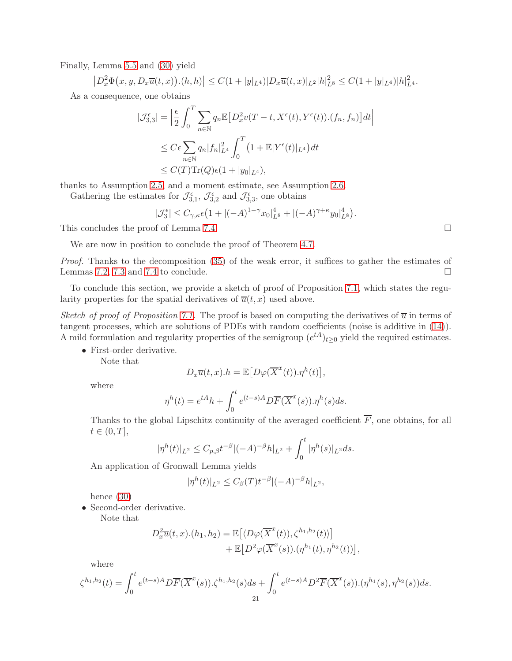Finally, Lemma [5.5](#page-13-1) and [\(30\)](#page-16-2) yield

 $\left|D_x^2\Phi(x,y,D_x\overline{u}(t,x))\cdot(h,h)\right| \leq C\left(1+|y|_{L^4}\right)|D_x\overline{u}(t,x)|_{L^2}|h|_{L^8}^2 \leq C\left(1+|y|_{L^4}\right)|h|_{L^4}^2.$ 

As a consequence, one obtains

$$
|\mathcal{J}_{3,3}^{\epsilon}| = \left| \frac{\epsilon}{2} \int_0^T \sum_{n \in \mathbb{N}} q_n \mathbb{E} \left[ D_x^2 v(T - t, X^{\epsilon}(t), Y^{\epsilon}(t)) \cdot (f_n, f_n) \right] dt \right|
$$
  

$$
\leq C \epsilon \sum_{n \in \mathbb{N}} q_n |f_n|_{L^4}^2 \int_0^T \left( 1 + \mathbb{E} |Y^{\epsilon}(t)|_{L^4} \right) dt
$$
  

$$
\leq C(T) \text{Tr}(Q) \epsilon (1 + |y_0|_{L^4}),
$$

thanks to Assumption [2.5,](#page-5-0) and a moment estimate, see Assumption [2.6.](#page-5-1)

Gathering the estimates for  $\mathcal{J}_{3,1}^{\epsilon}$ ,  $\mathcal{J}_{3,2}^{\epsilon}$  and  $\mathcal{J}_{3,3}^{\epsilon}$ , one obtains

$$
|\mathcal{J}_3^{\epsilon}| \le C_{\gamma,\kappa} \epsilon \left(1 + |(-A)^{1-\gamma} x_0|_{L^8}^4 + |(-A)^{\gamma+\kappa} y_0|_{L^8}^4\right).
$$

This concludes the proof of Lemma [7.4.](#page-18-0)

We are now in position to conclude the proof of Theorem [4.7.](#page-10-1)

Proof. Thanks to the decomposition [\(35\)](#page-17-1) of the weak error, it suffices to gather the estimates of Lemmas [7.2,](#page-18-1) [7.3](#page-18-2) and [7.4](#page-18-0) to conclude.  $\Box$ 

To conclude this section, we provide a sketch of proof of Proposition [7.1,](#page-16-1) which states the regularity properties for the spatial derivatives of  $\overline{u}(t, x)$  used above.

Sketch of proof of Proposition [7.1.](#page-16-1) The proof is based on computing the derivatives of  $\overline{u}$  in terms of tangent processes, which are solutions of PDEs with random coefficients (noise is additive in [\(14\)](#page-8-2)). A mild formulation and regularity properties of the semigroup  $(e^{tA})_{t\geq 0}$  yield the required estimates.

• First-order derivative.

Note that

$$
D_x\overline{u}(t,x).h = \mathbb{E}\big[D\varphi(\overline{X}^x(t)).\eta^h(t)\big],
$$

where

$$
\eta^{h}(t) = e^{tA}h + \int_{0}^{t} e^{(t-s)A} D\overline{F}(\overline{X}^{x}(s)).\eta^{h}(s)ds.
$$

Thanks to the global Lipschitz continuity of the averaged coefficient  $F$ , one obtains, for all  $t \in (0, T],$ 

$$
|\eta^{h}(t)|_{L^{2}} \leq C_{p,\beta} t^{-\beta} |(-A)^{-\beta}h|_{L^{2}} + \int_{0}^{t} |\eta^{h}(s)|_{L^{2}} ds.
$$

An application of Gronwall Lemma yields

$$
|\eta^{h}(t)|_{L^{2}} \leq C_{\beta}(T)t^{-\beta}|(-A)^{-\beta}h|_{L^{2}},
$$

hence [\(30\)](#page-16-2)

• Second-order derivative.

Note that

$$
D_x^2 \overline{u}(t, x) \cdot (h_1, h_2) = \mathbb{E}\left[ \langle D\varphi(\overline{X}^x(t)), \zeta^{h_1, h_2}(t) \rangle \right] + \mathbb{E}\left[ D^2 \varphi(\overline{X}^x(s)) \cdot (\eta^{h_1}(t), \eta^{h_2}(t)) \right]
$$

,

where

$$
\zeta^{h_1,h_2}(t) = \int_0^t e^{(t-s)A} D\overline{F}(\overline{X}^x(s)).\zeta^{h_1,h_2}(s)ds + \int_0^t e^{(t-s)A} D^2 \overline{F}(\overline{X}^x(s)).(\eta^{h_1}(s),\eta^{h_2}(s))ds.
$$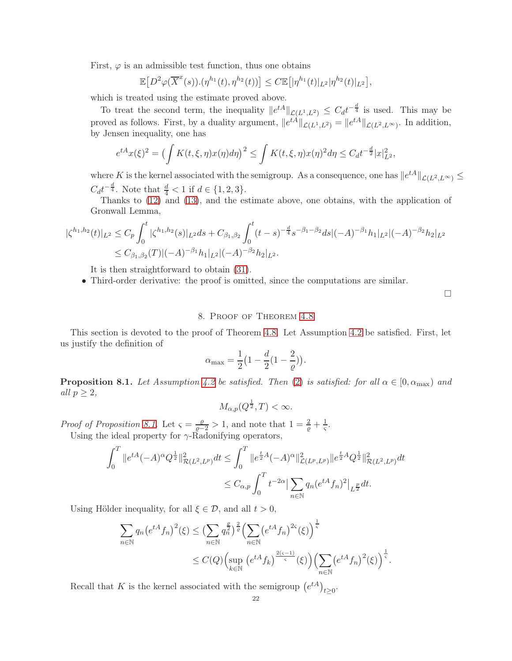First,  $\varphi$  is an admissible test function, thus one obtains

$$
\mathbb{E}\big[D^2\varphi(\overline{X}^x(s))\cdot(\eta^{h_1}(t),\eta^{h_2}(t))\big]\leq C\mathbb{E}\big[|\eta^{h_1}(t)|_{L^2}|\eta^{h_2}(t)|_{L^2}\big],
$$

which is treated using the estimate proved above.

To treat the second term, the inequality  $||e^{tA}||_{\mathcal{L}(L^1,L^2)} \leq C_d t^{-\frac{d}{4}}$  is used. This may be proved as follows. First, by a duality argument,  $||e^{tA}||_{\mathcal{L}(L^1,L^2)} = ||e^{tA}||_{\mathcal{L}(L^2,L^{\infty})}$ . In addition, by Jensen inequality, one has

$$
e^{tA}x(\xi)^2 = \left(\int K(t,\xi,\eta)x(\eta)d\eta\right)^2 \le \int K(t,\xi,\eta)x(\eta)^2 d\eta \le C_d t^{-\frac{d}{2}}|x|_{L^2}^2,
$$

where K is the kernel associated with the semigroup. As a consequence, one has  $||e^{tA}||_{\mathcal{L}(L^2, L^{\infty})} \le$  $C_d t^{-\frac{d}{4}}$ . Note that  $\frac{d}{4} < 1$  if  $d \in \{1, 2, 3\}$ .

Thanks to [\(12\)](#page-8-3) and [\(13\)](#page-8-7), and the estimate above, one obtains, with the application of Gronwall Lemma,

$$
\begin{aligned} |\zeta^{h_1,h_2}(t)|_{L^2} &\le C_p \int_0^t |\zeta^{h_1,h_2}(s)|_{L^2} ds + C_{\beta_1,\beta_2} \int_0^t (t-s)^{-\frac{d}{4}} s^{-\beta_1-\beta_2} ds |(-A)^{-\beta_1} h_1|_{L^2} |(-A)^{-\beta_2} h_2|_{L^2} \\ &\le C_{\beta_1,\beta_2}(T)|(-A)^{-\beta_1} h_1|_{L^2}|(-A)^{-\beta_2} h_2|_{L^2} .\end{aligned}
$$

It is then straightforward to obtain [\(31\)](#page-16-3).

• Third-order derivative: the proof is omitted, since the computations are similar.

 $\Box$ 

## 8. Proof of Theorem [4.8](#page-11-0)

<span id="page-21-0"></span>This section is devoted to the proof of Theorem [4.8.](#page-11-0) Let Assumption [4.2](#page-9-2) be satisfied. First, let us justify the definition of

$$
\alpha_{\max} = \frac{1}{2} \Big( 1 - \frac{d}{2} \big( 1 - \frac{2}{\varrho} \big) \Big).
$$

<span id="page-21-1"></span>**Proposition 8.1.** Let Assumption [4.2](#page-9-2) be satisfied. Then [\(2\)](#page-5-2) is satisfied: for all  $\alpha \in [0, \alpha_{\text{max}})$  and all  $p \geq 2$ ,

$$
M_{\alpha,p}(Q^{\frac{1}{2}},T)<\infty.
$$

Proof of Proposition [8.1.](#page-21-1) Let  $\varsigma = \frac{\rho}{\rho - 2} > 1$ , and note that  $1 = \frac{2}{\rho} + \frac{1}{\varsigma}$ .

Using the ideal property for  $\gamma$ -Radonifying operators,

$$
\int_0^T \|e^{tA}(-A)^\alpha Q^{\frac{1}{2}}\|_{\mathcal{R}(L^2, L^p)}^2 dt \le \int_0^T \|e^{\frac{t}{2}A}(-A)^\alpha\|_{\mathcal{L}(L^p, L^p)}^2 \|e^{\frac{t}{2}A}Q^{\frac{1}{2}}\|_{\mathcal{R}(L^2, L^p)}^2 dt
$$
  

$$
\le C_{\alpha, p} \int_0^T t^{-2\alpha} \left| \sum_{n \in \mathbb{N}} q_n (e^{tA} f_n)^2 \right|_{L^{\frac{p}{2}}} dt.
$$

Using Hölder inequality, for all  $\xi \in \mathcal{D}$ , and all  $t > 0$ ,

$$
\sum_{n\in\mathbb{N}} q_n \left(e^{tA} f_n\right)^2(\xi) \le \left(\sum_{n\in\mathbb{N}} q_n^{\frac{\theta}{2}}\right)^{\frac{2}{\varrho}} \left(\sum_{n\in\mathbb{N}} \left(e^{tA} f_n\right)^{2\varsigma}(\xi)\right)^{\frac{1}{\varsigma}} \le C(Q) \left(\sup_{k\in\mathbb{N}} \left(e^{tA} f_k\right)^{\frac{2(\varsigma-1)}{\varsigma}}(\xi)\right) \left(\sum_{n\in\mathbb{N}} \left(e^{tA} f_n\right)^2(\xi)\right)^{\frac{1}{\varsigma}}.
$$

Recall that K is the kernel associated with the semigroup  $(e^{tA})_{t\geq 0}$ .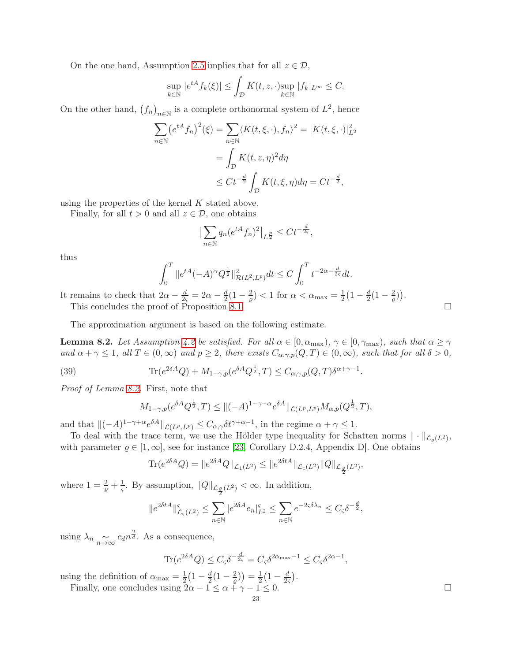On the one hand, Assumption [2.5](#page-5-0) implies that for all  $z \in \mathcal{D}$ ,

$$
\sup_{k \in \mathbb{N}} |e^{tA} f_k(\xi)| \le \int_{\mathcal{D}} K(t, z, \cdot) \sup_{k \in \mathbb{N}} |f_k|_{L^{\infty}} \le C.
$$

On the other hand,  $(f_n)_{n\in\mathbb{N}}$  is a complete orthonormal system of  $L^2$ , hence

$$
\sum_{n \in \mathbb{N}} \left( e^{tA} f_n \right)^2(\xi) = \sum_{n \in \mathbb{N}} \langle K(t, \xi, \cdot), f_n \rangle^2 = |K(t, \xi, \cdot)|_{L^2}^2
$$

$$
= \int_{\mathcal{D}} K(t, z, \eta)^2 d\eta
$$

$$
\leq Ct^{-\frac{d}{2}} \int_{\mathcal{D}} K(t, \xi, \eta) d\eta = Ct^{-\frac{d}{2}},
$$

using the properties of the kernel K stated above.

Finally, for all  $t > 0$  and all  $z \in \mathcal{D}$ , one obtains

$$
\left| \sum_{n \in \mathbb{N}} q_n (e^{tA} f_n)^2 \right|_{L^{\frac{p}{2}}} \le C t^{-\frac{d}{2\varsigma}},
$$

thus

$$
\int_0^T \|e^{tA}(-A)^\alpha Q^{\frac{1}{2}}\|_{\mathcal{R}(L^2, L^p)}^2 dt \le C \int_0^T t^{-2\alpha - \frac{d}{2\varsigma}} dt.
$$

It remains to check that  $2\alpha - \frac{d}{2\varsigma} = 2\alpha - \frac{d}{2}(1 - \frac{2}{\varrho}) < 1$  for  $\alpha < \alpha_{\text{max}} = \frac{1}{2}(1 - \frac{d}{2}(1 - \frac{2}{\varrho}))$ . This concludes the proof of Proposition [8.1.](#page-21-1)

The approximation argument is based on the following estimate.

<span id="page-22-0"></span>**Lemma 8.2.** Let Assumption [4.2](#page-9-2) be satisfied. For all  $\alpha \in [0, \alpha_{\text{max}}), \gamma \in [0, \gamma_{\text{max}}),$  such that  $\alpha \geq \gamma$ and  $\alpha + \gamma \leq 1$ , all  $T \in (0, \infty)$  and  $p \geq 2$ , there exists  $C_{\alpha, \gamma, p}(Q, T) \in (0, \infty)$ , such that for all  $\delta > 0$ ,

(39) 
$$
\text{Tr}(e^{2\delta A}Q) + M_{1-\gamma,p}(e^{\delta A}Q^{\frac{1}{2}},T) \leq C_{\alpha,\gamma,p}(Q,T)\delta^{\alpha+\gamma-1}.
$$

Proof of Lemma [8.2.](#page-22-0) First, note that

$$
M_{1-\gamma,p}(e^{\delta A} Q^{\frac{1}{2}}, T) \le ||(-A)^{1-\gamma-\alpha} e^{\delta A}||_{\mathcal{L}(L^p, L^p)} M_{\alpha,p}(Q^{\frac{1}{2}}, T),
$$

and that  $\|(-A)^{1-\gamma+\alpha}e^{\delta A}\|_{\mathcal{L}(L^p,L^p)} \leq C_{\alpha,\gamma}\delta t^{\gamma+\alpha-1}$ , in the regime  $\alpha+\gamma\leq 1$ .

To deal with the trace term, we use the Hölder type inequality for Schatten norms  $\|\cdot\|_{\mathcal{L}_{\varrho}(L^2)}$ , with parameter  $\varrho \in [1,\infty]$ , see for instance [\[23,](#page-31-13) Corollary D.2.4, Appendix D]. One obtains

$$
\mathrm{Tr}(e^{2\delta A}Q) = \|e^{2\delta A}Q\|_{\mathcal{L}_1(L^2)} \le \|e^{2\delta t A}\|_{\mathcal{L}_\varsigma(L^2)} \|Q\|_{\mathcal{L}_{\frac{\rho}{2}}(L^2)},
$$

where  $1 = \frac{2}{\varrho} + \frac{1}{\varsigma}$  $\frac{1}{\varsigma}$ . By assumption,  $||Q||_{\mathcal{L}_{\frac{\varrho}{2}}(L^2)} < \infty$ . In addition,

$$
||e^{2\delta t A}||_{\mathcal{L}_{\varsigma}(L^2)}^{\varsigma} \le \sum_{n \in \mathbb{N}} |e^{2\delta A} e_n|_{L^2}^{\varsigma} \le \sum_{n \in \mathbb{N}} e^{-2\varsigma \delta \lambda_n} \le C_{\varsigma} \delta^{-\frac{d}{2}},
$$

using  $\lambda_n \underset{n\to\infty}{\sim} c_d n^{\frac{2}{d}}$ . As a consequence,

$$
\text{Tr}(e^{2\delta A}Q) \le C_{\varsigma} \delta^{-\frac{d}{2\varsigma}} = C_{\varsigma} \delta^{2\alpha_{\max}-1} \le C_{\varsigma} \delta^{2\alpha-1},
$$

using the definition of  $\alpha_{\text{max}} = \frac{1}{2}$  $rac{1}{2}(1-\frac{d}{2})$  $\frac{d}{2}(1-\frac{2}{\varrho}% )^{2}$  $\left(\frac{2}{\varrho}\right)\right)=\frac{1}{2}$  $rac{1}{2}(1-\frac{d}{2\varsigma})$  $\frac{d}{2\varsigma}$ .

Finally, one concludes using  $2\alpha - 1 \leq \alpha + \gamma - 1 \leq 0$ .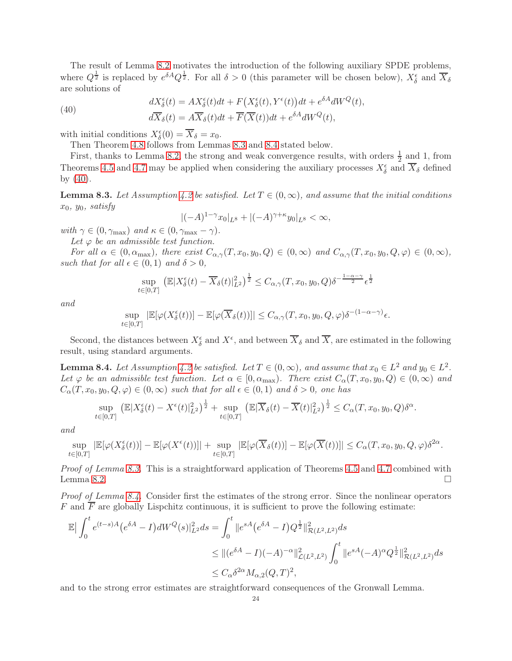The result of Lemma [8.2](#page-22-0) motivates the introduction of the following auxiliary SPDE problems, where  $Q^{\frac{1}{2}}$  is replaced by  $e^{\delta A} Q^{\frac{1}{2}}$ . For all  $\delta > 0$  (this parameter will be chosen below),  $X_{\delta}^{\epsilon}$  and  $\overline{X}_{\delta}$ are solutions of

(40)  
\n
$$
dX_{\delta}^{\epsilon}(t) = AX_{\delta}^{\epsilon}(t)dt + F(X_{\delta}^{\epsilon}(t), Y^{\epsilon}(t))dt + e^{\delta A}dW^{Q}(t),
$$
\n
$$
d\overline{X}_{\delta}(t) = A\overline{X}_{\delta}(t)dt + \overline{F}(\overline{X}(t))dt + e^{\delta A}dW^{Q}(t),
$$

with initial conditions  $X_{\delta}^{\epsilon}(0) = \overline{X}_{\delta} = x_0$ .

<span id="page-23-2"></span>Then Theorem [4.8](#page-11-0) follows from Lemmas [8.3](#page-23-0) and [8.4](#page-23-1) stated below.

First, thanks to Lemma [8.2,](#page-22-0) the strong and weak convergence results, with orders  $\frac{1}{2}$  and 1, from Theorems [4.5](#page-10-0) and [4.7](#page-10-1) may be applied when considering the auxiliary processes  $X_{\delta}^{\epsilon}$  and  $\overline{X}_{\delta}$  defined by [\(40\)](#page-23-2).

<span id="page-23-0"></span>**Lemma 8.3.** Let Assumption [4.2](#page-9-2) be satisfied. Let  $T \in (0,\infty)$ , and assume that the initial conditions  $x_0$ ,  $y_0$ , satisfy

$$
|(-A)^{1-\gamma}x_0|_{L^8}+|(-A)^{\gamma+\kappa}y_0|_{L^8}<\infty,
$$

with  $\gamma \in (0, \gamma_{\text{max}})$  and  $\kappa \in (0, \gamma_{\text{max}} - \gamma)$ .

Let  $\varphi$  be an admissible test function.

For all  $\alpha \in (0, \alpha_{\max})$ , there exist  $C_{\alpha,\gamma}(T, x_0, y_0, Q) \in (0, \infty)$  and  $C_{\alpha,\gamma}(T, x_0, y_0, Q, \varphi) \in (0, \infty)$ , such that for all  $\epsilon \in (0,1)$  and  $\delta > 0$ ,

$$
\sup_{t\in[0,T]} \left( \mathbb{E}|X_{\delta}^{\epsilon}(t) - \overline{X}_{\delta}(t)|_{L^{2}}^{2} \right)^{\frac{1}{2}} \leq C_{\alpha,\gamma}(T,x_{0},y_{0},Q)\delta^{-\frac{1-\alpha-\gamma}{2}}\epsilon^{\frac{1}{2}}
$$

and

$$
\sup_{t\in[0,T]}|\mathbb{E}[\varphi(X_{\delta}^{\epsilon}(t))]-\mathbb{E}[\varphi(\overline{X}_{\delta}(t))]|\leq C_{\alpha,\gamma}(T,x_0,y_0,Q,\varphi)\delta^{-(1-\alpha-\gamma)}\epsilon.
$$

Second, the distances between  $X_\delta^\epsilon$  and  $X^\epsilon$ , and between  $\overline{X}_\delta$  and  $\overline{X}$ , are estimated in the following result, using standard arguments.

<span id="page-23-1"></span>**Lemma 8.4.** Let Assumption [4.2](#page-9-2) be satisfied. Let  $T \in (0, \infty)$ , and assume that  $x_0 \in L^2$  and  $y_0 \in L^2$ . Let  $\varphi$  be an admissible test function. Let  $\alpha \in [0, \alpha_{\text{max}})$ . There exist  $C_{\alpha}(T, x_0, y_0, Q) \in (0, \infty)$  and  $C_{\alpha}(T, x_0, y_0, Q, \varphi) \in (0, \infty)$  such that for all  $\epsilon \in (0, 1)$  and  $\delta > 0$ , one has

$$
\sup_{t \in [0,T]} \left( \mathbb{E} |X^{\epsilon}_{\delta}(t) - X^{\epsilon}(t)|_{L^{2}}^{2} \right)^{\frac{1}{2}} + \sup_{t \in [0,T]} \left( \mathbb{E} |\overline{X}_{\delta}(t) - \overline{X}(t)|_{L^{2}}^{2} \right)^{\frac{1}{2}} \leq C_{\alpha}(T, x_{0}, y_{0}, Q) \delta^{\alpha}.
$$

and

$$
\sup_{t\in[0,T]}|\mathbb{E}[\varphi(X_{\delta}^{\epsilon}(t))]-\mathbb{E}[\varphi(X^{\epsilon}(t))]|+\sup_{t\in[0,T]}|\mathbb{E}[\varphi(\overline{X}_{\delta}(t))]-\mathbb{E}[\varphi(\overline{X}(t))]|\leq C_{\alpha}(T,x_0,y_0,Q,\varphi)\delta^{2\alpha}.
$$

Proof of Lemma [8.3.](#page-23-0) This is a straightforward application of Theorems [4.5](#page-10-0) and [4.7](#page-10-1) combined with Lemma [8.2.](#page-22-0)

Proof of Lemma [8.4.](#page-23-1) Consider first the estimates of the strong error. Since the nonlinear operators F and  $\overline{F}$  are globally Lispchitz continuous, it is sufficient to prove the following estimate:

$$
\mathbb{E} \Big| \int_0^t e^{(t-s)A} (e^{\delta A} - I) dW^Q(s) \Big|_{L^2}^2 ds = \int_0^t \|e^{sA} (e^{\delta A} - I) Q^{\frac{1}{2}}\|_{\mathcal{R}(L^2, L^2)}^2 ds
$$
  
\n
$$
\leq \| (e^{\delta A} - I)(-A)^{-\alpha} \|_{\mathcal{L}(L^2, L^2)}^2 \int_0^t \|e^{sA} (-A)^{\alpha} Q^{\frac{1}{2}}\|_{\mathcal{R}(L^2, L^2)}^2 ds
$$
  
\n
$$
\leq C_{\alpha} \delta^{2\alpha} M_{\alpha, 2}(Q, T)^2,
$$

and to the strong error estimates are straightforward consequences of the Gronwall Lemma.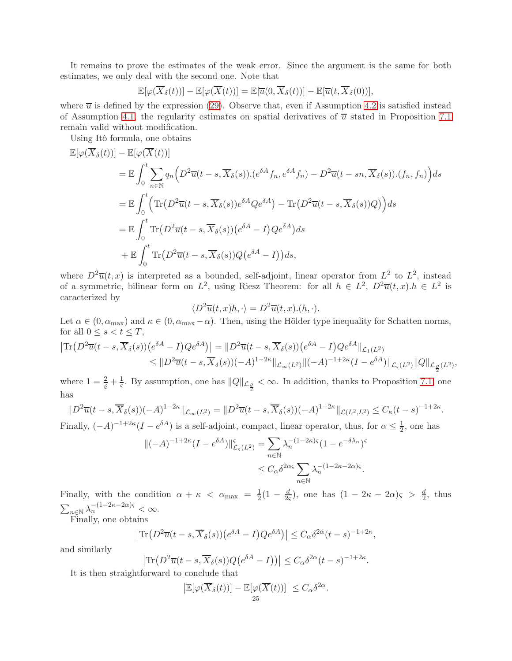It remains to prove the estimates of the weak error. Since the argument is the same for both estimates, we only deal with the second one. Note that

$$
\mathbb{E}[\varphi(\overline{X}_{\delta}(t))] - \mathbb{E}[\varphi(\overline{X}(t))] = \mathbb{E}[\overline{u}(0,\overline{X}_{\delta}(t))] - \mathbb{E}[\overline{u}(t,\overline{X}_{\delta}(0))],
$$

where  $\overline{u}$  is defined by the expression [\(29\)](#page-16-5). Observe that, even if Assumption [4.2](#page-9-2) is satisfied instead of Assumption [4.1,](#page-9-1) the regularity estimates on spatial derivatives of  $\overline{u}$  stated in Proposition [7.1](#page-16-1) remain valid without modification.

Using Itô formula, one obtains

$$
\mathbb{E}[\varphi(\overline{X}_{\delta}(t))] - \mathbb{E}[\varphi(\overline{X}(t))]
$$
\n
$$
= \mathbb{E} \int_{0}^{t} \sum_{n \in \mathbb{N}} q_{n} \Big( D^{2} \overline{u}(t-s, \overline{X}_{\delta}(s)).(e^{\delta A} f_{n}, e^{\delta A} f_{n}) - D^{2} \overline{u}(t-sn, \overline{X}_{\delta}(s)).(f_{n}, f_{n}) \Big) ds
$$
\n
$$
= \mathbb{E} \int_{0}^{t} \Big( \text{Tr} \big( D^{2} \overline{u}(t-s, \overline{X}_{\delta}(s)) e^{\delta A} Q e^{\delta A} \big) - \text{Tr} \big( D^{2} \overline{u}(t-s, \overline{X}_{\delta}(s)) Q \big) \Big) ds
$$
\n
$$
= \mathbb{E} \int_{0}^{t} \text{Tr} \big( D^{2} \overline{u}(t-s, \overline{X}_{\delta}(s)) (e^{\delta A} - I) Q e^{\delta A} \big) ds
$$
\n
$$
+ \mathbb{E} \int_{0}^{t} \text{Tr} \big( D^{2} \overline{u}(t-s, \overline{X}_{\delta}(s)) Q (e^{\delta A} - I) \big) ds,
$$

where  $D^2\overline{u}(t,x)$  is interpreted as a bounded, self-adjoint, linear operator from  $L^2$  to  $L^2$ , instead of a symmetric, bilinear form on  $L^2$ , using Riesz Theorem: for all  $h \in L^2$ ,  $D^2\overline{u}(t, x)$ . $h \in L^2$  is caracterized by

$$
\langle D^2 \overline{u}(t, x)h, \cdot \rangle = D^2 \overline{u}(t, x). (h, \cdot).
$$

Let  $\alpha \in (0, \alpha_{\max})$  and  $\kappa \in (0, \alpha_{\max} - \alpha)$ . Then, using the Hölder type inequality for Schatten norms, for all  $0 \leq s < t \leq T$ ,

$$
\begin{split} \left| \text{Tr}\left( D^2 \overline{u}(t-s, \overline{X}_{\delta}(s)) \left( e^{\delta A} - I \right) Q e^{\delta A} \right) \right| &= \| D^2 \overline{u}(t-s, \overline{X}_{\delta}(s)) \left( e^{\delta A} - I \right) Q e^{\delta A} \|_{\mathcal{L}_1(L^2)} \\ &\leq \| D^2 \overline{u}(t-s, \overline{X}_{\delta}(s)) (-A)^{1-2\kappa} \|_{\mathcal{L}_{\infty}(L^2)} \| (-A)^{-1+2\kappa} (I - e^{\delta A}) \|_{\mathcal{L}_{\varsigma}(L^2)} \| Q \|_{\mathcal{L}_{\frac{\varrho}{2}}(L^2)}, \end{split}
$$

where  $1 = \frac{2}{e} + \frac{1}{s}$ . By assumption, one has  $||Q||_{\mathcal{L}_{\frac{\rho}{2}}} < \infty$ . In addition, thanks to Proposition [7.1,](#page-16-1) one has

$$
||D^2\overline{u}(t-s,\overline{X}_{\delta}(s))(-A)^{1-2\kappa}||_{\mathcal{L}_{\infty}(L^2)} = ||D^2\overline{u}(t-s,\overline{X}_{\delta}(s))(-A)^{1-2\kappa}||_{\mathcal{L}(L^2,L^2)} \leq C_{\kappa}(t-s)^{-1+2\kappa}.
$$

Finally,  $(-A)^{-1+2\kappa}(I - e^{\delta A})$  is a self-adjoint, compact, linear operator, thus, for  $\alpha \leq \frac{1}{2}$ , one has

$$
\begin{aligned} \|(-A)^{-1+2\kappa}(I-e^{\delta A})\|_{\mathcal{L}_{\varsigma}(L^{2})}^{s} &= \sum_{n\in\mathbb{N}}\lambda_{n}^{-(1-2\kappa)\varsigma}(1-e^{-\delta\lambda_{n}})^{s} \\ &\leq C_{\alpha}\delta^{2\alpha\varsigma}\sum_{n\in\mathbb{N}}\lambda_{n}^{-(1-2\kappa-2\alpha)\varsigma}.\end{aligned}
$$

Finally, with the condition  $\alpha + \kappa < \alpha_{\text{max}} = \frac{1}{2}$  $rac{1}{2}(1-\frac{d}{20})$  $\frac{d}{2\varsigma}$ ), one has  $(1 - 2\kappa - 2\alpha)\varsigma > \frac{d}{2}$ , thus  $\sum_{n\in\mathbb{N}}\lambda_n^{-(1-2\kappa-2\alpha)\varsigma}<\infty.$ 

Finally, one obtains

$$
\left| \text{Tr}\left( D^2 \overline{u}(t-s, \overline{X}_{\delta}(s)) \left( e^{\delta A} - I \right) Q e^{\delta A} \right) \right| \leq C_{\alpha} \delta^{2\alpha} (t-s)^{-1+2\kappa},
$$

and similarly

$$
\left| \text{Tr}\left( D^2 \overline{u}(t-s, \overline{X}_{\delta}(s)) Q(e^{\delta A} - I) \right) \right| \leq C_{\alpha} \delta^{2\alpha} (t-s)^{-1+2\kappa}.
$$

It is then straightforward to conclude that

$$
\left| \mathbb{E}[\varphi(\overline{X}_{\delta}(t))] - \mathbb{E}[\varphi(\overline{X}(t))] \right| \leq C_{\alpha} \delta^{2\alpha}
$$

.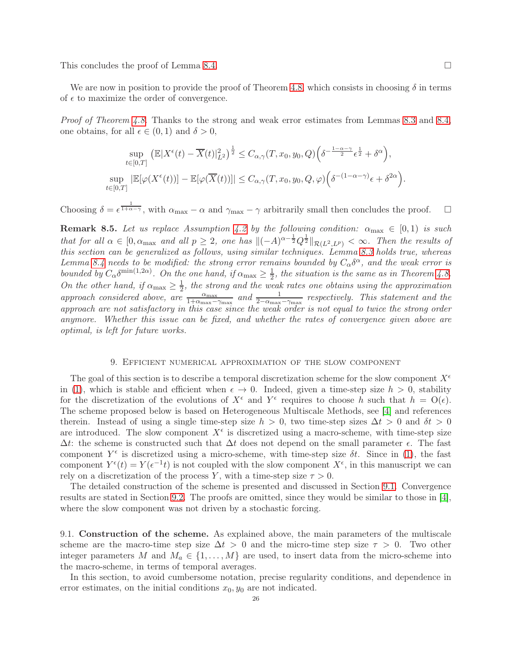This concludes the proof of Lemma [8.4.](#page-23-1)

We are now in position to provide the proof of Theorem [4.8,](#page-11-0) which consists in choosing  $\delta$  in terms of  $\epsilon$  to maximize the order of convergence.

Proof of Theorem [4.8.](#page-11-0) Thanks to the strong and weak error estimates from Lemmas [8.3](#page-23-0) and [8.4,](#page-23-1) one obtains, for all  $\epsilon \in (0,1)$  and  $\delta > 0$ ,

$$
\sup_{t\in[0,T]} \left( \mathbb{E}|X^{\epsilon}(t) - \overline{X}(t)|_{L^{2}}^{2} \right)^{\frac{1}{2}} \leq C_{\alpha,\gamma}(T, x_{0}, y_{0}, Q) \left( \delta^{-\frac{1-\alpha-\gamma}{2}} \epsilon^{\frac{1}{2}} + \delta^{\alpha} \right),
$$
  
\n
$$
\sup_{t\in[0,T]} |\mathbb{E}[\varphi(X^{\epsilon}(t))] - \mathbb{E}[\varphi(\overline{X}(t))]| \leq C_{\alpha,\gamma}(T, x_{0}, y_{0}, Q, \varphi) \left( \delta^{-(1-\alpha-\gamma)} \epsilon + \delta^{2\alpha} \right).
$$

Choosing  $\delta = \epsilon^{\frac{1}{1+\alpha-\gamma}}$ , with  $\alpha_{\text{max}} - \alpha$  and  $\gamma_{\text{max}} - \gamma$  arbitrarily small then concludes the proof.  $\square$ 

**Remark 8.5.** Let us replace Assumption [4.2](#page-9-2) by the following condition:  $\alpha_{\text{max}} \in [0, 1)$  is such that for all  $\alpha \in [0, \alpha_{\max}$  and all  $p \geq 2$ , one has  $\Vert (-A)^{\alpha-\frac{1}{2}}Q^{\frac{1}{2}} \Vert_{\mathcal{R}(L^2, L^p)} < \infty$ . Then the results of this section can be generalized as follows, using similar techniques. Lemma [8.3](#page-23-0) holds true, whereas Lemma [8.4](#page-23-1) needs to be modified: the strong error remains bounded by  $C_{\alpha} \delta^{\alpha}$ , and the weak error is bounded by  $C_{\alpha} \delta^{\min(1,2\alpha)}$ . On the one hand, if  $\alpha_{\max} \geq \frac{1}{2}$ , the situation is the same as in Theorem [4.8.](#page-11-0) On the other hand, if  $\alpha_{\text{max}} \geq \frac{1}{2}$  $\frac{1}{2}$ , the strong and the weak rates one obtains using the approximation approach considered above, are  $\frac{\alpha_{\text{max}}}{1+\alpha_{\text{max}}-\gamma_{\text{max}}}$  and  $\frac{1}{2-\alpha_{\text{max}}-\gamma_{\text{max}}}$  respectively. This statement and the approach are not satisfactory in this case since the weak order is not equal to twice the strong order anymore. Whether this issue can be fixed, and whether the rates of convergence given above are optimal, is left for future works.

### 9. Efficient numerical approximation of the slow component

<span id="page-25-0"></span>The goal of this section is to describe a temporal discretization scheme for the slow component  $X^{\epsilon}$ in [\(1\)](#page-2-0), which is stable and efficient when  $\epsilon \to 0$ . Indeed, given a time-step size  $h > 0$ , stability for the discretization of the evolutions of  $X^{\epsilon}$  and  $Y^{\epsilon}$  requires to choose h such that  $h = O(\epsilon)$ . The scheme proposed below is based on Heterogeneous Multiscale Methods, see [\[4\]](#page-30-7) and references therein. Instead of using a single time-step size  $h > 0$ , two time-step sizes  $\Delta t > 0$  and  $\delta t > 0$ are introduced. The slow component  $X^{\epsilon}$  is discretized using a macro-scheme, with time-step size  $\Delta t$ : the scheme is constructed such that  $\Delta t$  does not depend on the small parameter  $\epsilon$ . The fast component  $Y^{\epsilon}$  is discretized using a micro-scheme, with time-step size  $\delta t$ . Since in [\(1\)](#page-2-0), the fast component  $Y^{\epsilon}(t) = Y(\epsilon^{-1}t)$  is not coupled with the slow component  $X^{\epsilon}$ , in this manuscript we can rely on a discretization of the process Y, with a time-step size  $\tau > 0$ .

The detailed construction of the scheme is presented and discussed in Section [9.1.](#page-25-1) Convergence results are stated in Section [9.2.](#page-27-0) The proofs are omitted, since they would be similar to those in [\[4\]](#page-30-7), where the slow component was not driven by a stochastic forcing.

<span id="page-25-1"></span>9.1. Construction of the scheme. As explained above, the main parameters of the multiscale scheme are the macro-time step size  $\Delta t > 0$  and the micro-time step size  $\tau > 0$ . Two other integer parameters M and  $M_a \in \{1, ..., M\}$  are used, to insert data from the micro-scheme into the macro-scheme, in terms of temporal averages.

In this section, to avoid cumbersome notation, precise regularity conditions, and dependence in error estimates, on the initial conditions  $x_0, y_0$  are not indicated.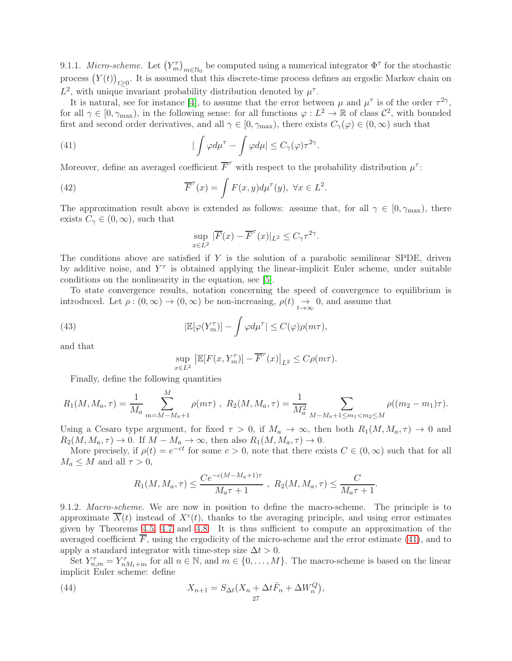9.1.1. *Micro-scheme*. Let  $(Y_m^{\tau})_{m \in \mathbb{N}_0}$  be computed using a numerical integrator  $\Phi^{\tau}$  for the stochastic process  $(Y(t))_{t\geq 0}$ . It is assumed that this discrete-time process defines an ergodic Markov chain on  $L^2$ , with unique invariant probability distribution denoted by  $\mu^{\tau}$ .

It is natural, see for instance [\[4\]](#page-30-7), to assume that the error between  $\mu$  and  $\mu^{\tau}$  is of the order  $\tau^{2\gamma}$ , for all  $\gamma \in [0, \gamma_{\max})$ , in the following sense: for all functions  $\varphi: L^2 \to \mathbb{R}$  of class  $\mathcal{C}^2$ , with bounded first and second order derivatives, and all  $\gamma \in [0, \gamma_{\text{max}})$ , there exists  $C_{\gamma}(\varphi) \in (0, \infty)$  such that

(41) 
$$
|\int \varphi d\mu^{\tau} - \int \varphi d\mu| \leq C_{\gamma}(\varphi) \tau^{2\gamma}.
$$

Moreover, define an averaged coefficient  $\overline{F}^{\tau}$  with respect to the probability distribution  $\mu^{\tau}$ :

(42) 
$$
\overline{F}^{\tau}(x) = \int F(x, y) d\mu^{\tau}(y), \ \forall x \in L^2.
$$

The approximation result above is extended as follows: assume that, for all  $\gamma \in [0, \gamma_{\text{max}})$ , there exists  $C_{\gamma} \in (0, \infty)$ , such that

<span id="page-26-0"></span>
$$
\sup_{x \in L^2} |\overline{F}(x) - \overline{F}^\tau(x)|_{L^2} \le C_\gamma \tau^{2\gamma}.
$$

The conditions above are satisfied if  $Y$  is the solution of a parabolic semilinear SPDE, driven by additive noise, and  $Y^{\tau}$  is obtained applying the linear-implicit Euler scheme, under suitable conditions on the nonlinearity in the equation, see [\[5\]](#page-30-20).

To state convergence results, notation concerning the speed of convergence to equilibrium is introduced. Let  $\rho : (0, \infty) \to (0, \infty)$  be non-increasing,  $\rho(t) \to 0$ , and assume that

(43) 
$$
|\mathbb{E}[\varphi(Y_m^{\tau})] - \int \varphi d\mu^{\tau}| \leq C(\varphi)\rho(m\tau),
$$

and that

<span id="page-26-2"></span>
$$
\sup_{x \in L^2} \left| \mathbb{E} [F(x, Y_m^{\tau})] - \overline{F}^{\tau}(x) \right|_{L^2} \le C \rho(m\tau).
$$

Finally, define the following quantities

$$
R_1(M, M_a, \tau) = \frac{1}{M_a} \sum_{m=M-M_a+1}^{M} \rho(m\tau) , R_2(M, M_a, \tau) = \frac{1}{M_a^2} \sum_{M-M_a+1 \le m_1 < m_2 \le M} \rho((m_2 - m_1)\tau).
$$

Using a Cesaro type argument, for fixed  $\tau > 0$ , if  $M_a \to \infty$ , then both  $R_1(M, M_a, \tau) \to 0$  and  $R_2(M, M_a, \tau) \to 0$ . If  $M - M_a \to \infty$ , then also  $R_1(M, M_a, \tau) \to 0$ .

More precisely, if  $\rho(t) = e^{-ct}$  for some  $c > 0$ , note that there exists  $C \in (0, \infty)$  such that for all  $M_a \leq M$  and all  $\tau > 0$ ,

<span id="page-26-1"></span>
$$
R_1(M, M_a, \tau) \le \frac{Ce^{-c(M-M_a+1)\tau}}{M_a \tau + 1}
$$
,  $R_2(M, M_a, \tau) \le \frac{C}{M_a \tau + 1}$ .

9.1.2. Macro-scheme. We are now in position to define the macro-scheme. The principle is to approximate  $\overline{X}(t)$  instead of  $X^{\epsilon}(t)$ , thanks to the averaging principle, and using error estimates given by Theorems [4.5,](#page-10-0) [4.7](#page-10-1) and [4.8.](#page-11-0) It is thus sufficient to compute an approximation of the averaged coefficient  $F$ , using the ergodicity of the micro-scheme and the error estimate [\(41\)](#page-26-0), and to apply a standard integrator with time-step size  $\Delta t > 0$ .

Set  $Y^{\tau}_{n,m} = Y^{\tau}_{nM_t+m}$  for all  $n \in \mathbb{N}$ , and  $m \in \{0, \ldots, M\}$ . The macro-scheme is based on the linear implicit Euler scheme: define

(44) 
$$
X_{n+1} = S_{\Delta t}(X_n + \Delta t \tilde{F}_n + \Delta W_n^Q),
$$

$$
Z_7
$$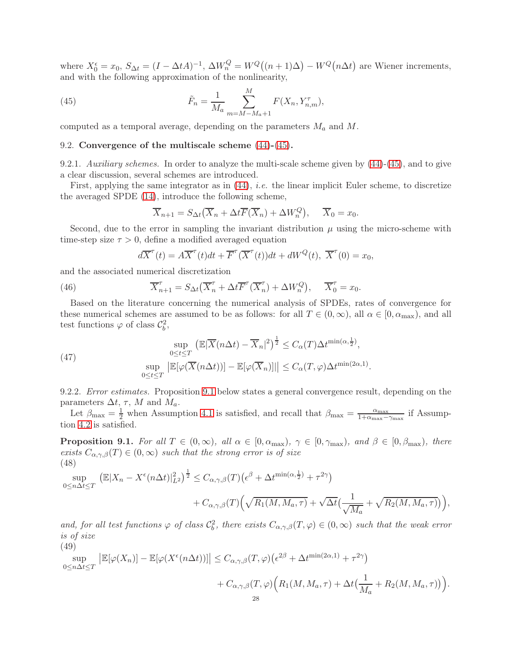where  $X_0^{\epsilon} = x_0$ ,  $S_{\Delta t} = (I - \Delta t A)^{-1}$ ,  $\Delta W_n^Q = W^Q((n+1)\Delta) - W^Q(n\Delta t)$  are Wiener increments, and with the following approximation of the nonlinearity,

(45) 
$$
\tilde{F}_n = \frac{1}{M_a} \sum_{m=M-M_a+1}^{M} F(X_n, Y_{n,m}^{\tau}),
$$

<span id="page-27-0"></span>computed as a temporal average, depending on the parameters  $M_a$  and  $M$ .

### 9.2. Convergence of the multiscale scheme [\(44\)](#page-26-1)-[\(45\)](#page-27-1).

9.2.1. Auxiliary schemes. In order to analyze the multi-scale scheme given by  $(44)-(45)$  $(44)-(45)$ , and to give a clear discussion, several schemes are introduced.

First, applying the same integrator as in [\(44\)](#page-26-1), i.e. the linear implicit Euler scheme, to discretize the averaged SPDE [\(14\)](#page-8-2), introduce the following scheme,

<span id="page-27-1"></span>
$$
\overline{X}_{n+1} = S_{\Delta t} \left( \overline{X}_n + \Delta t \overline{F} \left( \overline{X}_n \right) + \Delta W_n^Q \right), \quad \overline{X}_0 = x_0.
$$

Second, due to the error in sampling the invariant distribution  $\mu$  using the micro-scheme with time-step size  $\tau > 0$ , define a modified averaged equation

<span id="page-27-4"></span>
$$
d\overline{X}^{\tau}(t) = A\overline{X}^{\tau}(t)dt + \overline{F}^{\tau}(\overline{X}^{\tau}(t))dt + dW^{Q}(t), \ \overline{X}^{\tau}(0) = x_{0},
$$

and the associated numerical discretization

(46) 
$$
\overline{X}_{n+1}^{\tau} = S_{\Delta t} \left( \overline{X}_n^{\tau} + \Delta t \overline{F}^{\tau} \left( \overline{X}_n^{\tau} \right) + \Delta W_n^Q \right), \quad \overline{X}_0^{\tau} = x_0.
$$

Based on the literature concerning the numerical analysis of SPDEs, rates of convergence for these numerical schemes are assumed to be as follows: for all  $T \in (0,\infty)$ , all  $\alpha \in [0,\alpha_{\max})$ , and all test functions  $\varphi$  of class  $\mathcal{C}_b^2$ ,

<span id="page-27-3"></span>(47)  
\n
$$
\sup_{0 \le t \le T} \left( \mathbb{E} |\overline{X}(n\Delta t) - \overline{X}_n|^2 \right)^{\frac{1}{2}} \le C_\alpha(T) \Delta t^{\min(\alpha, \frac{1}{2})},
$$
\n
$$
\sup_{0 \le t \le T} \left| \mathbb{E}[\varphi(\overline{X}(n\Delta t))] - \mathbb{E}[\varphi(\overline{X}_n)] \right| \le C_\alpha(T, \varphi) \Delta t^{\min(2\alpha, 1)}.
$$

9.2.2. Error estimates. Proposition [9.1](#page-27-2) below states a general convergence result, depending on the parameters  $\Delta t$ ,  $\tau$ , M and  $M_a$ .

Let  $\beta_{\text{max}} = \frac{1}{2}$  when Assumption [4.1](#page-9-1) is satisfied, and recall that  $\beta_{\text{max}} = \frac{\alpha_{\text{max}}}{1 + \alpha_{\text{max}}}$  $\frac{\alpha_{\max}}{1+\alpha_{\max}-\gamma_{\max}}$  if Assumption [4.2](#page-9-2) is satisfied.

<span id="page-27-2"></span>**Proposition 9.1.** For all  $T \in (0,\infty)$ , all  $\alpha \in [0,\alpha_{\max})$ ,  $\gamma \in [0,\gamma_{\max})$ , and  $\beta \in [0,\beta_{\max})$ , there exists  $C_{\alpha,\gamma,\beta}(T) \in (0,\infty)$  such that the strong error is of size (48)

<span id="page-27-5"></span>sup  $0 \leq n \Delta t \leq T$  $\left( \mathbb{E}|X_n - X^{\epsilon}(n\Delta t)|_{L^2}^2 \right)^{\frac{1}{2}} \leq C_{\alpha,\gamma,\beta}(T) \left( \epsilon^{\beta} + \Delta t^{\min(\alpha,\frac{1}{2})} + \tau^{2\gamma} \right)$ 

$$
+ C_{\alpha,\gamma,\beta}(T) \Big(\sqrt{R_1(M,M_a,\tau)} + \sqrt{\Delta t} \big(\frac{1}{\sqrt{M_a}} + \sqrt{R_2(M,M_a,\tau)}\big)\Big),\,
$$

and, for all test functions  $\varphi$  of class  $C_b^2$ , there exists  $C_{\alpha,\gamma,\beta}(T,\varphi) \in (0,\infty)$  such that the weak error is of size

(49)

<span id="page-27-6"></span>
$$
\sup_{0 \le n \Delta t \le T} \left| \mathbb{E}[\varphi(X_n)] - \mathbb{E}[\varphi(X^{\epsilon}(n\Delta t))] \right| \le C_{\alpha,\gamma,\beta}(T,\varphi) \left(\epsilon^{2\beta} + \Delta t^{\min(2\alpha,1)} + \tau^{2\gamma}\right) + C_{\alpha,\gamma,\beta}(T,\varphi) \left(R_1(M,M_a,\tau) + \Delta t \left(\frac{1}{M_a} + R_2(M,M_a,\tau)\right)\right).
$$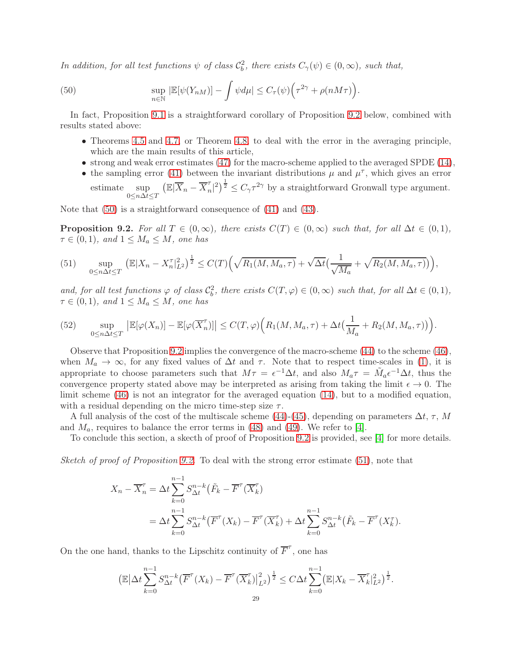In addition, for all test functions  $\psi$  of class  $C_b^2$ , there exists  $C_\gamma(\psi) \in (0,\infty)$ , such that,

(50) 
$$
\sup_{n\in\mathbb{N}} |\mathbb{E}[\psi(Y_{nM})] - \int \psi d\mu| \leq C_{\tau}(\psi) \Big( \tau^{2\gamma} + \rho(nM\tau) \Big).
$$

In fact, Proposition [9.1](#page-27-2) is a straightforward corollary of Proposition [9.2](#page-28-0) below, combined with results stated above:

- <span id="page-28-1"></span>• Theorems [4.5](#page-10-0) and [4.7,](#page-10-1) or Theorem [4.8,](#page-11-0) to deal with the error in the averaging principle, which are the main results of this article,
- strong and weak error estimates  $(47)$  for the macro-scheme applied to the averaged SPDE  $(14)$ ,
- the sampling error [\(41\)](#page-26-0) between the invariant distributions  $\mu$  and  $\mu$  $\tau$ , which gives an error estimate sup  $0 \leq n \Delta t \leq T$  $\left(\mathbb{E}|\overline{X}_n - \overline{X}_n^{\tau}\right)$  $\left( \frac{\tau}{n} \right)^{\frac{1}{2}} \leq C_{\gamma} \tau^{2\gamma}$  by a straightforward Gronwall type argument.

Note that [\(50\)](#page-28-1) is a straightforward consequence of [\(41\)](#page-26-0) and [\(43\)](#page-26-2).

<span id="page-28-0"></span>**Proposition 9.2.** For all  $T \in (0,\infty)$ , there exists  $C(T) \in (0,\infty)$  such that, for all  $\Delta t \in (0,1)$ ,  $\tau \in (0,1)$ , and  $1 \leq M_a \leq M$ , one has

<span id="page-28-2"></span>(51) 
$$
\sup_{0 \le n \Delta t \le T} \left( \mathbb{E}|X_n - X_n^{\tau}|_{L^2}^2 \right)^{\frac{1}{2}} \le C(T) \left( \sqrt{R_1(M, M_a, \tau)} + \sqrt{\Delta t} \left( \frac{1}{\sqrt{M_a}} + \sqrt{R_2(M, M_a, \tau)} \right) \right),
$$

and, for all test functions  $\varphi$  of class  $C_b^2$ , there exists  $C(T, \varphi) \in (0, \infty)$  such that, for all  $\Delta t \in (0, 1)$ ,  $\tau \in (0,1)$ , and  $1 \leq M_a \leq M$ , one has

<span id="page-28-3"></span>(52) 
$$
\sup_{0\leq n\Delta t\leq T} \left| \mathbb{E}[\varphi(X_n)] - \mathbb{E}[\varphi(\overline{X}_n^{\tau})] \right| \leq C(T,\varphi) \Big( R_1(M,M_a,\tau) + \Delta t \big(\frac{1}{M_a} + R_2(M,M_a,\tau)\big) \Big).
$$

Observe that Proposition [9.2](#page-28-0) implies the convergence of the macro-scheme [\(44\)](#page-26-1) to the scheme [\(46\)](#page-27-4), when  $M_a \to \infty$ , for any fixed values of  $\Delta t$  and  $\tau$ . Note that to respect time-scales in [\(1\)](#page-2-0), it is appropriate to choose parameters such that  $M\tau = \epsilon^{-1}\Delta t$ , and also  $M_a\tau = \tilde{M}_a \epsilon^{-1}\Delta t$ , thus the convergence property stated above may be interpreted as arising from taking the limit  $\epsilon \to 0$ . The limit scheme [\(46\)](#page-27-4) is not an integrator for the averaged equation [\(14\)](#page-8-2), but to a modified equation, with a residual depending on the micro time-step size  $\tau$ .

A full analysis of the cost of the multiscale scheme [\(44\)](#page-26-1)-[\(45\)](#page-27-1), depending on parameters  $\Delta t$ ,  $\tau$ , M and  $M_a$ , requires to balance the error terms in [\(48\)](#page-27-5) and [\(49\)](#page-27-6). We refer to [\[4\]](#page-30-7).

To conclude this section, a skecth of proof of Proposition [9.2](#page-28-0) is provided, see [\[4\]](#page-30-7) for more details.

Sketch of proof of Proposition [9.2.](#page-28-0) To deal with the strong error estimate  $(51)$ , note that

$$
X_n - \overline{X}_n^{\tau} = \Delta t \sum_{k=0}^{n-1} S_{\Delta t}^{n-k} (\tilde{F}_k - \overline{F}^{\tau} (\overline{X}_k^{\tau})
$$
  
=  $\Delta t \sum_{k=0}^{n-1} S_{\Delta t}^{n-k} (\overline{F}^{\tau} (X_k) - \overline{F}^{\tau} (\overline{X}_k^{\tau}) + \Delta t \sum_{k=0}^{n-1} S_{\Delta t}^{n-k} (\tilde{F}_k - \overline{F}^{\tau} (X_k^{\tau}).$ 

On the one hand, thanks to the Lipschitz continuity of  $\overline{F}^{\tau}$ , one has

$$
\left(\mathbb{E}\left|\Delta t\sum_{k=0}^{n-1} S_{\Delta t}^{n-k} \left(\overline{F}^{\tau}(X_k) - \overline{F}^{\tau}(\overline{X}_k^{\tau})\right)_{L^2}^2\right)^{\frac{1}{2}} \leq C \Delta t \sum_{k=0}^{n-1} \left(\mathbb{E}|X_k - \overline{X}_k^{\tau}|_{L^2}^2\right)^{\frac{1}{2}}.
$$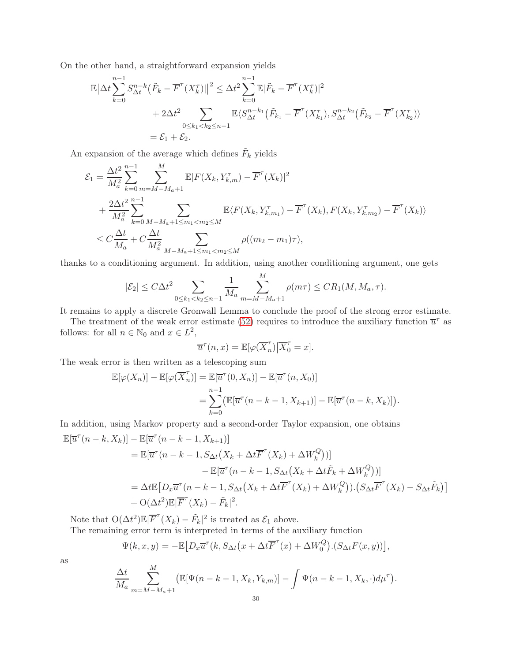On the other hand, a straightforward expansion yields

$$
\mathbb{E}|\Delta t \sum_{k=0}^{n-1} S_{\Delta t}^{n-k} (\tilde{F}_k - \overline{F}^{\tau} (X_k^{\tau})||^2 \leq \Delta t^2 \sum_{k=0}^{n-1} \mathbb{E}|\tilde{F}_k - \overline{F}^{\tau} (X_k^{\tau})|^2 \n+ 2\Delta t^2 \sum_{\substack{0 \leq k_1 < k_2 \leq n-1}} \mathbb{E} \langle S_{\Delta t}^{n-k_1} (\tilde{F}_{k_1} - \overline{F}^{\tau} (X_{k_1}^{\tau}), S_{\Delta t}^{n-k_2} (\tilde{F}_{k_2} - \overline{F}^{\tau} (X_{k_2}^{\tau})) \rangle \n= \mathcal{E}_1 + \mathcal{E}_2.
$$

An expansion of the average which defines  $\tilde{F}_k$  yields

$$
\mathcal{E}_{1} = \frac{\Delta t^{2}}{M_{a}^{2}} \sum_{k=0}^{n-1} \sum_{m=M-M_{a}+1}^{M} \mathbb{E} |F(X_{k}, Y_{k,m}^{\tau}) - \overline{F}^{\tau}(X_{k})|^{2} \n+ \frac{2\Delta t^{2}}{M_{a}^{2}} \sum_{k=0}^{n-1} \sum_{M-M_{a}+1 \leq m_{1} < m_{2} \leq M} \mathbb{E} \langle F(X_{k}, Y_{k,m_{1}}^{\tau}) - \overline{F}^{\tau}(X_{k}), F(X_{k}, Y_{k,m_{2}}^{\tau}) - \overline{F}^{\tau}(X_{k}) \rangle \n\leq C \frac{\Delta t}{M_{a}} + C \frac{\Delta t}{M_{a}^{2}} \sum_{M-M_{a}+1 \leq m_{1} < m_{2} \leq M} \rho((m_{2} - m_{1})\tau),
$$

thanks to a conditioning argument. In addition, using another conditioning argument, one gets

$$
|\mathcal{E}_2| \leq C\Delta t^2 \sum_{0 \leq k_1 < k_2 \leq n-1} \frac{1}{M_a} \sum_{m=M-M_a+1}^{M} \rho(m\tau) \leq CR_1(M, M_a, \tau).
$$

It remains to apply a discrete Gronwall Lemma to conclude the proof of the strong error estimate.

The treatment of the weak error estimate [\(52\)](#page-28-3) requires to introduce the auxiliary function  $\overline{u}^{\tau}$  as follows: for all  $n \in \mathbb{N}_0$  and  $x \in L^2$ ,

$$
\overline{u}^{\tau}(n,x) = \mathbb{E}[\varphi(\overline{X}_n^{\tau}) | \overline{X}_0^{\tau} = x].
$$

The weak error is then written as a telescoping sum

$$
\mathbb{E}[\varphi(X_n)] - \mathbb{E}[\varphi(\overline{X}_n^{\tau})] = \mathbb{E}[\overline{u}^{\tau}(0, X_n)] - \mathbb{E}[\overline{u}^{\tau}(n, X_0)]
$$
  
= 
$$
\sum_{k=0}^{n-1} (\mathbb{E}[\overline{u}^{\tau}(n-k-1, X_{k+1})] - \mathbb{E}[\overline{u}^{\tau}(n-k, X_k)]).
$$

In addition, using Markov property and a second-order Taylor expansion, one obtains

$$
\mathbb{E}[\overline{u}^{\tau}(n-k, X_k)] - \mathbb{E}[\overline{u}^{\tau}(n-k-1, X_{k+1})]
$$
\n
$$
= \mathbb{E}[\overline{u}^{\tau}(n-k-1, S_{\Delta t}(X_k + \Delta t \overline{F}^{\tau}(X_k) + \Delta W_k^Q))]
$$
\n
$$
- \mathbb{E}[\overline{u}^{\tau}(n-k-1, S_{\Delta t}(X_k + \Delta t \tilde{F}_k + \Delta W_k^Q))]
$$
\n
$$
= \Delta t \mathbb{E}[D_x \overline{u}^{\tau}(n-k-1, S_{\Delta t}(X_k + \Delta t \overline{F}^{\tau}(X_k) + \Delta W_k^Q)) \cdot (S_{\Delta t} \overline{F}^{\tau}(X_k) - S_{\Delta t} \tilde{F}_k)]
$$
\n
$$
+ O(\Delta t^2) \mathbb{E}|\overline{F}^{\tau}(X_k) - \tilde{F}_k|^2.
$$

Note that  $O(\Delta t^2) \mathbb{E} |\overline{F}^{\tau}(X_k) - \tilde{F}_k|^2$  is treated as  $\mathcal{E}_1$  above. The remaining error term is interpreted in terms of the auxiliary function

$$
\Psi(k, x, y) = -\mathbb{E}\big[D_x\overline{u}^\tau(k, S_{\Delta t}\big(x + \Delta t \overline{F}^\tau(x) + \Delta W_0^Q\big). (S_{\Delta t}F(x, y))\big],
$$

as

$$
\frac{\Delta t}{M_a} \sum_{m=M-M_a+1}^{M} \left( \mathbb{E}[\Psi(n-k-1, X_k, Y_{k,m})] - \int \Psi(n-k-1, X_k, \cdot) d\mu^{\tau} \right).
$$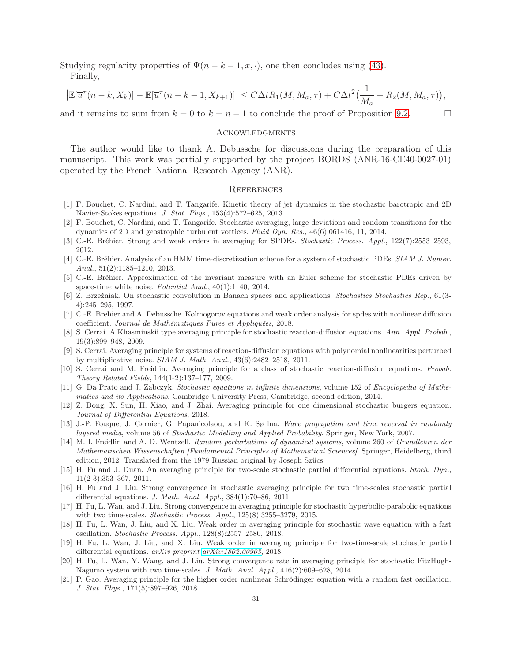Studying regularity properties of  $\Psi(n-k-1,x,\cdot)$ , one then concludes using [\(43\)](#page-26-2).

Finally,

$$
\left|\mathbb{E}[\overline{u}^{\tau}(n-k,X_k)]-\mathbb{E}[\overline{u}^{\tau}(n-k-1,X_{k+1})]\right|\leq C\Delta t R_1(M,M_a,\tau)+C\Delta t^2\big(\frac{1}{M_a}+R_2(M,M_a,\tau)\big),
$$

and it remains to sum from  $k = 0$  to  $k = n - 1$  to conclude the proof of Proposition [9.2.](#page-28-0)

### **ACKOWLEDGMENTS**

The author would like to thank A. Debussche for discussions during the preparation of this manuscript. This work was partially supported by the project BORDS (ANR-16-CE40-0027-01) operated by the French National Research Agency (ANR).

#### **REFERENCES**

- <span id="page-30-16"></span>[1] F. Bouchet, C. Nardini, and T. Tangarife. Kinetic theory of jet dynamics in the stochastic barotropic and 2D Navier-Stokes equations. J. Stat. Phys., 153(4):572–625, 2013.
- <span id="page-30-17"></span>[2] F. Bouchet, C. Nardini, and T. Tangarife. Stochastic averaging, large deviations and random transitions for the dynamics of 2D and geostrophic turbulent vortices. Fluid Dyn. Res., 46(6):061416, 11, 2014.
- <span id="page-30-7"></span><span id="page-30-6"></span>[3] C.-E. Bréhier. Strong and weak orders in averaging for SPDEs. Stochastic Process. Appl., 122(7):2553–2593, 2012.
- [4] C.-E. Bréhier. Analysis of an HMM time-discretization scheme for a system of stochastic PDEs. SIAM J. Numer. Anal., 51(2):1185–1210, 2013.
- <span id="page-30-20"></span>[5] C.-E. Bréhier. Approximation of the invariant measure with an Euler scheme for stochastic PDEs driven by space-time white noise. Potential Anal., 40(1):1–40, 2014.
- <span id="page-30-19"></span>[6] Z. Brzeźniak. On stochastic convolution in Banach spaces and applications. Stochastics Stochastics Rep., 61(3- 4):245–295, 1997.
- <span id="page-30-18"></span><span id="page-30-3"></span>[7] C.-E. Bréhier and A. Debussche. Kolmogorov equations and weak order analysis for spdes with nonlinear diffusion coefficient. Journal de Mathématiques Pures et Appliquées, 2018.
- [8] S. Cerrai. A Khasminskii type averaging principle for stochastic reaction-diffusion equations. Ann. Appl. Probab., 19(3):899–948, 2009.
- <span id="page-30-5"></span>[9] S. Cerrai. Averaging principle for systems of reaction-diffusion equations with polynomial nonlinearities perturbed by multiplicative noise. SIAM J. Math. Anal., 43(6):2482–2518, 2011.
- <span id="page-30-4"></span>[10] S. Cerrai and M. Freidlin. Averaging principle for a class of stochastic reaction-diffusion equations. Probab. Theory Related Fields, 144(1-2):137–177, 2009.
- <span id="page-30-2"></span>[11] G. Da Prato and J. Zabczyk. Stochastic equations in infinite dimensions, volume 152 of Encyclopedia of Mathematics and its Applications. Cambridge University Press, Cambridge, second edition, 2014.
- <span id="page-30-8"></span>[12] Z. Dong, X. Sun, H. Xiao, and J. Zhai. Averaging principle for one dimensional stochastic burgers equation. Journal of Differential Equations, 2018.
- <span id="page-30-0"></span>[13] J.-P. Fouque, J. Garnier, G. Papanicolaou, and K. Sø lna. Wave propagation and time reversal in randomly layered media, volume 56 of Stochastic Modelling and Applied Probability. Springer, New York, 2007.
- <span id="page-30-1"></span>[14] M. I. Freidlin and A. D. Wentzell. Random perturbations of dynamical systems, volume 260 of Grundlehren der Mathematischen Wissenschaften [Fundamental Principles of Mathematical Sciences]. Springer, Heidelberg, third edition, 2012. Translated from the 1979 Russian original by Joseph Szücs.
- <span id="page-30-9"></span>[15] H. Fu and J. Duan. An averaging principle for two-scale stochastic partial differential equations. Stoch. Dyn., 11(2-3):353–367, 2011.
- <span id="page-30-10"></span>[16] H. Fu and J. Liu. Strong convergence in stochastic averaging principle for two time-scales stochastic partial differential equations. J. Math. Anal. Appl., 384(1):70–86, 2011.
- <span id="page-30-13"></span>[17] H. Fu, L. Wan, and J. Liu. Strong convergence in averaging principle for stochastic hyperbolic-parabolic equations with two time-scales. Stochastic Process. Appl.,  $125(8):3255-3279$ ,  $2015$ .
- <span id="page-30-14"></span>[18] H. Fu, L. Wan, J. Liu, and X. Liu. Weak order in averaging principle for stochastic wave equation with a fast oscillation. Stochastic Process. Appl., 128(8):2557–2580, 2018.
- <span id="page-30-11"></span>[19] H. Fu, L. Wan, J. Liu, and X. Liu. Weak order in averaging principle for two-time-scale stochastic partial differential equations. arXiv preprint [arXiv:1802.00903](http://arxiv.org/abs/1802.00903), 2018.
- <span id="page-30-12"></span>[20] H. Fu, L. Wan, Y. Wang, and J. Liu. Strong convergence rate in averaging principle for stochastic FitzHugh-Nagumo system with two time-scales. J. Math. Anal. Appl., 416(2):609–628, 2014.
- <span id="page-30-15"></span>[21] P. Gao. Averaging principle for the higher order nonlinear Schrödinger equation with a random fast oscillation. J. Stat. Phys., 171(5):897–926, 2018.